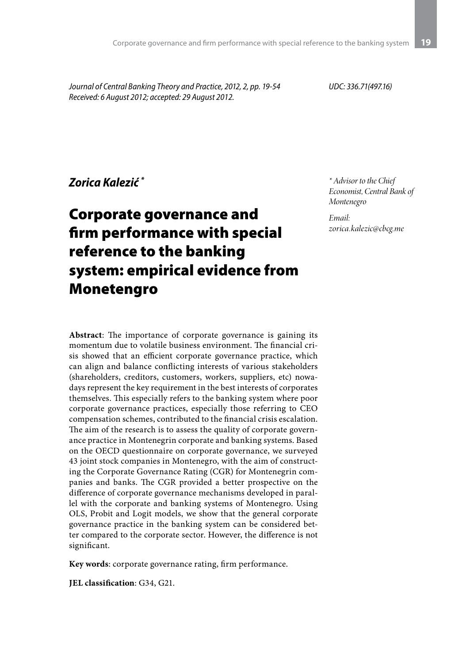*Journal of Central Banking Theory and Practice, 2012, 2, pp. 19-54 Received: 6 August 2012; accepted: 29 August 2012.*

*UDC: 336.71(497.16)*

### *Zorica Kalezić \**

# Corporate governance and firm performance with special reference to the banking system: empirical evidence from Monetengro

*\* Advisor to the Chief Economist, Central Bank of Montenegro*

*Email: zorica.kalezic@cbcg.me*

**Abstract**: The importance of corporate governance is gaining its momentum due to volatile business environment. The financial crisis showed that an efficient corporate governance practice, which can align and balance conflicting interests of various stakeholders (shareholders, creditors, customers, workers, suppliers, etc) nowadays represent the key requirement in the best interests of corporates themselves. This especially refers to the banking system where poor corporate governance practices, especially those referring to CEO compensation schemes, contributed to the financial crisis escalation. The aim of the research is to assess the quality of corporate governance practice in Montenegrin corporate and banking systems. Based on the OECD questionnaire on corporate governance, we surveyed 43 joint stock companies in Montenegro, with the aim of constructing the Corporate Governance Rating (CGR) for Montenegrin companies and banks. The CGR provided a better prospective on the difference of corporate governance mechanisms developed in parallel with the corporate and banking systems of Montenegro. Using OLS, Probit and Logit models, we show that the general corporate governance practice in the banking system can be considered better compared to the corporate sector. However, the difference is not significant.

**Key words**: corporate governance rating, firm performance.

**JEL classification**: G34, G21.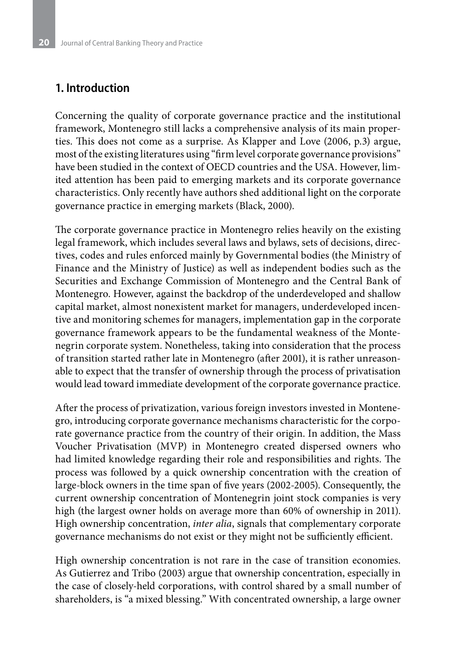# **1. Introduction**

Concerning the quality of corporate governance practice and the institutional framework, Montenegro still lacks a comprehensive analysis of its main properties. This does not come as a surprise. As Klapper and Love (2006, p.3) argue, most of the existing literatures using "firm level corporate governance provisions" have been studied in the context of OECD countries and the USA. However, limited attention has been paid to emerging markets and its corporate governance characteristics. Only recently have authors shed additional light on the corporate governance practice in emerging markets (Black, 2000).

The corporate governance practice in Montenegro relies heavily on the existing legal framework, which includes several laws and bylaws, sets of decisions, directives, codes and rules enforced mainly by Governmental bodies (the Ministry of Finance and the Ministry of Justice) as well as independent bodies such as the Securities and Exchange Commission of Montenegro and the Central Bank of Montenegro. However, against the backdrop of the underdeveloped and shallow capital market, almost nonexistent market for managers, underdeveloped incentive and monitoring schemes for managers, implementation gap in the corporate governance framework appears to be the fundamental weakness of the Montenegrin corporate system. Nonetheless, taking into consideration that the process of transition started rather late in Montenegro (after 2001), it is rather unreasonable to expect that the transfer of ownership through the process of privatisation would lead toward immediate development of the corporate governance practice.

After the process of privatization, various foreign investors invested in Montenegro, introducing corporate governance mechanisms characteristic for the corporate governance practice from the country of their origin. In addition, the Mass Voucher Privatisation (MVP) in Montenegro created dispersed owners who had limited knowledge regarding their role and responsibilities and rights. The process was followed by a quick ownership concentration with the creation of large-block owners in the time span of five years (2002-2005). Consequently, the current ownership concentration of Montenegrin joint stock companies is very high (the largest owner holds on average more than 60% of ownership in 2011). High ownership concentration, *inter alia*, signals that complementary corporate governance mechanisms do not exist or they might not be sufficiently efficient.

High ownership concentration is not rare in the case of transition economies. As Gutierrez and Tribo (2003) argue that ownership concentration, especially in the case of closely-held corporations, with control shared by a small number of shareholders, is "a mixed blessing." With concentrated ownership, a large owner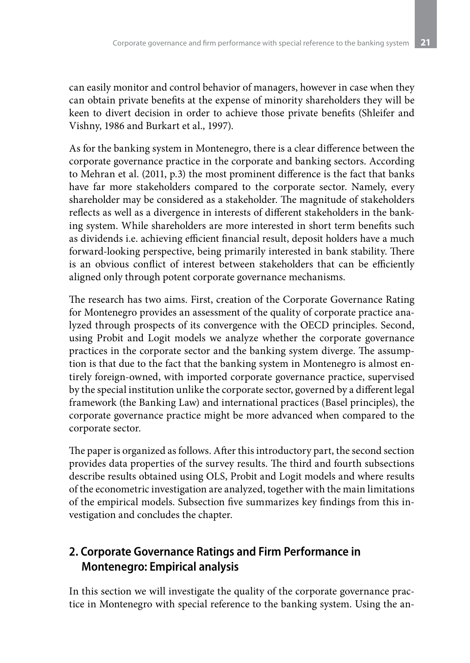can easily monitor and control behavior of managers, however in case when they can obtain private benefits at the expense of minority shareholders they will be keen to divert decision in order to achieve those private benefits (Shleifer and Vishny, 1986 and Burkart et al., 1997).

As for the banking system in Montenegro, there is a clear difference between the corporate governance practice in the corporate and banking sectors. According to Mehran et al. (2011, p.3) the most prominent difference is the fact that banks have far more stakeholders compared to the corporate sector. Namely, every shareholder may be considered as a stakeholder. The magnitude of stakeholders reflects as well as a divergence in interests of different stakeholders in the banking system. While shareholders are more interested in short term benefits such as dividends i.e. achieving efficient financial result, deposit holders have a much forward-looking perspective, being primarily interested in bank stability. There is an obvious conflict of interest between stakeholders that can be efficiently aligned only through potent corporate governance mechanisms.

The research has two aims. First, creation of the Corporate Governance Rating for Montenegro provides an assessment of the quality of corporate practice analyzed through prospects of its convergence with the OECD principles. Second, using Probit and Logit models we analyze whether the corporate governance practices in the corporate sector and the banking system diverge. The assumption is that due to the fact that the banking system in Montenegro is almost entirely foreign-owned, with imported corporate governance practice, supervised by the special institution unlike the corporate sector, governed by a different legal framework (the Banking Law) and international practices (Basel principles), the corporate governance practice might be more advanced when compared to the corporate sector.

The paper is organized as follows. After this introductory part, the second section provides data properties of the survey results. The third and fourth subsections describe results obtained using OLS, Probit and Logit models and where results of the econometric investigation are analyzed, together with the main limitations of the empirical models. Subsection five summarizes key findings from this investigation and concludes the chapter.

# **2. Corporate Governance Ratings and Firm Performance in Montenegro: Empirical analysis**

In this section we will investigate the quality of the corporate governance practice in Montenegro with special reference to the banking system. Using the an-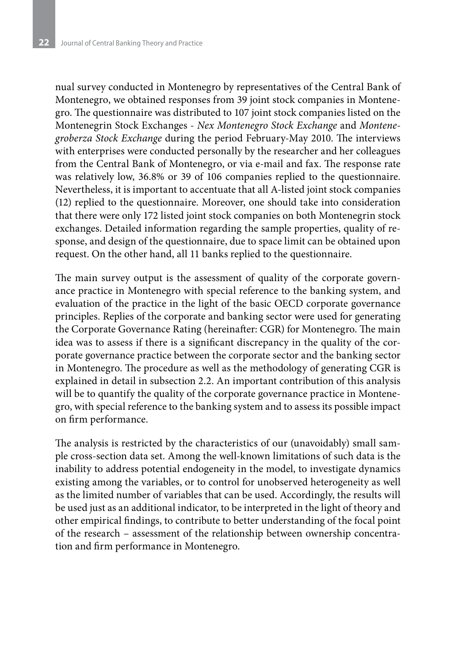nual survey conducted in Montenegro by representatives of the Central Bank of Montenegro, we obtained responses from 39 joint stock companies in Montenegro. The questionnaire was distributed to 107 joint stock companies listed on the Montenegrin Stock Exchanges - *Nex Montenegro Stock Exchange* and *Montenegroberza Stock Exchange* during the period February-May 2010. The interviews with enterprises were conducted personally by the researcher and her colleagues from the Central Bank of Montenegro, or via e-mail and fax. The response rate was relatively low, 36.8% or 39 of 106 companies replied to the questionnaire. Nevertheless, it is important to accentuate that all A-listed joint stock companies (12) replied to the questionnaire. Moreover, one should take into consideration that there were only 172 listed joint stock companies on both Montenegrin stock exchanges. Detailed information regarding the sample properties, quality of response, and design of the questionnaire, due to space limit can be obtained upon request. On the other hand, all 11 banks replied to the questionnaire.

The main survey output is the assessment of quality of the corporate governance practice in Montenegro with special reference to the banking system, and evaluation of the practice in the light of the basic OECD corporate governance principles. Replies of the corporate and banking sector were used for generating the Corporate Governance Rating (hereinafter: CGR) for Montenegro. The main idea was to assess if there is a significant discrepancy in the quality of the corporate governance practice between the corporate sector and the banking sector in Montenegro. The procedure as well as the methodology of generating CGR is explained in detail in subsection 2.2. An important contribution of this analysis will be to quantify the quality of the corporate governance practice in Montenegro, with special reference to the banking system and to assess its possible impact on firm performance.

The analysis is restricted by the characteristics of our (unavoidably) small sample cross-section data set. Among the well-known limitations of such data is the inability to address potential endogeneity in the model, to investigate dynamics existing among the variables, or to control for unobserved heterogeneity as well as the limited number of variables that can be used. Accordingly, the results will be used just as an additional indicator, to be interpreted in the light of theory and other empirical findings, to contribute to better understanding of the focal point of the research – assessment of the relationship between ownership concentration and firm performance in Montenegro.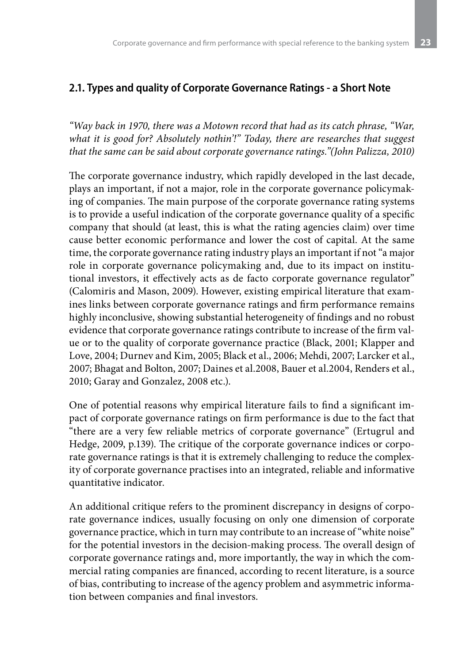### **2.1. Types and quality of Corporate Governance Ratings - a Short Note**

*"Way back in 1970, there was a Motown record that had as its catch phrase, "War, what it is good for? Absolutely nothin'!" Today, there are researches that suggest that the same can be said about corporate governance ratings."(John Palizza, 2010)*

The corporate governance industry, which rapidly developed in the last decade, plays an important, if not a major, role in the corporate governance policymaking of companies. The main purpose of the corporate governance rating systems is to provide a useful indication of the corporate governance quality of a specific company that should (at least, this is what the rating agencies claim) over time cause better economic performance and lower the cost of capital. At the same time, the corporate governance rating industry plays an important if not "a major role in corporate governance policymaking and, due to its impact on institutional investors, it effectively acts as de facto corporate governance regulator" (Calomiris and Mason, 2009). However, existing empirical literature that examines links between corporate governance ratings and firm performance remains highly inconclusive, showing substantial heterogeneity of findings and no robust evidence that corporate governance ratings contribute to increase of the firm value or to the quality of corporate governance practice (Black, 2001; Klapper and Love, 2004; Durnev and Kim, 2005; Black et al., 2006; Mehdi, 2007; Larcker et al., 2007; Bhagat and Bolton, 2007; Daines et al.2008, Bauer et al.2004, Renders et al., 2010; Garay and Gonzalez, 2008 etc.).

One of potential reasons why empirical literature fails to find a significant impact of corporate governance ratings on firm performance is due to the fact that "there are a very few reliable metrics of corporate governance" (Ertugrul and Hedge, 2009, p.139). The critique of the corporate governance indices or corporate governance ratings is that it is extremely challenging to reduce the complexity of corporate governance practises into an integrated, reliable and informative quantitative indicator.

An additional critique refers to the prominent discrepancy in designs of corporate governance indices, usually focusing on only one dimension of corporate governance practice, which in turn may contribute to an increase of "white noise" for the potential investors in the decision-making process. The overall design of corporate governance ratings and, more importantly, the way in which the commercial rating companies are financed, according to recent literature, is a source of bias, contributing to increase of the agency problem and asymmetric information between companies and final investors.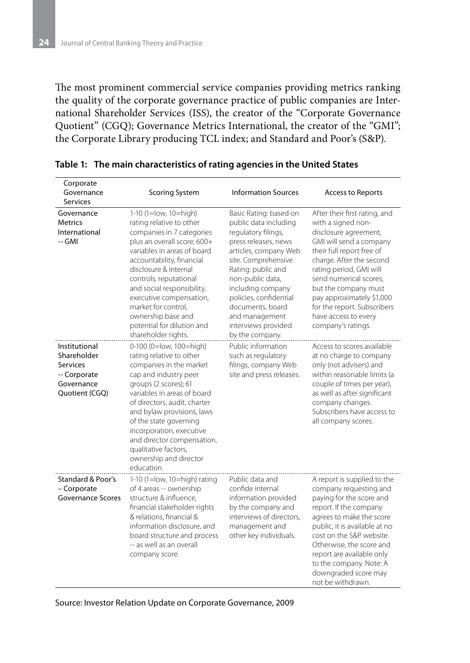The most prominent commercial service companies providing metrics ranking the quality of the corporate governance practice of public companies are International Shareholder Services (ISS), the creator of the "Corporate Governance Quotient" (CGQ); Governance Metrics International, the creator of the "GMI"; the Corporate Library producing TCL index; and Standard and Poor's (S&P).

| Corporate<br>Governance<br><b>Services</b>                                               | <b>Scoring System</b>                                                                                                                                                                                                                                                                                                                                                                   | <b>Information Sources</b>                                                                                                                                                                                                                                                                                              | <b>Access to Reports</b>                                                                                                                                                                                                                                                                                                                                |
|------------------------------------------------------------------------------------------|-----------------------------------------------------------------------------------------------------------------------------------------------------------------------------------------------------------------------------------------------------------------------------------------------------------------------------------------------------------------------------------------|-------------------------------------------------------------------------------------------------------------------------------------------------------------------------------------------------------------------------------------------------------------------------------------------------------------------------|---------------------------------------------------------------------------------------------------------------------------------------------------------------------------------------------------------------------------------------------------------------------------------------------------------------------------------------------------------|
| Governance<br><b>Metrics</b><br>International<br>-- GMI                                  | 1-10 (1=low, 10=high)<br>rating relative to other<br>companies in 7 categories<br>plus an overall score; 600+<br>variables in areas of board<br>accountability, financial<br>disclosure & internal<br>controls, reputational<br>and social responsibility,<br>executive compensation,<br>market for control,<br>ownership base and<br>potential for dilution and<br>shareholder rights. | Basic Rating: based on<br>public data including<br>regulatory filings,<br>press releases, news<br>articles, company Web<br>site. Comprehensive<br>Rating: public and<br>non-public data,<br>including company<br>policies, confidential<br>documents, board<br>and management<br>interviews provided<br>by the company. | After their first rating, and<br>with a signed non-<br>disclosure agreement,<br>GMI will send a company<br>their full report free of<br>charge. After the second<br>rating period, GMI will<br>send numerical scores,<br>but the company must<br>pay approximately \$1,000<br>for the report. Subscribers<br>have access to every<br>company's ratings. |
| Institutional<br>Shareholder<br>Services<br>-- Corporate<br>Governance<br>Quotient (CGQ) | 0-100 (0=low, 100=high)<br>rating relative to other<br>companies in the market<br>cap and industry peer<br>groups (2 scores); 61<br>variables in areas of board<br>of directors, audit, charter<br>and bylaw provisions, laws<br>of the state governing<br>incorporation, executive<br>and director compensation,<br>qualitative factors,<br>ownership and director<br>education.       | Public information<br>such as regulatory<br>filings, company Web<br>site and press releases.                                                                                                                                                                                                                            | Access to scores available<br>at no charge to company<br>only (not advisers) and<br>within reasonable limits (a<br>couple of times per year),<br>as well as after significant<br>company changes.<br>Subscribers have access to<br>all company scores.                                                                                                  |
| Standard & Poor's<br>- Corporate<br><b>Governance Scores</b>                             | 1-10 (1= $low$ , 10= $high$ ) rating<br>of 4 areas -- ownership<br>structure & influence,<br>financial stakeholder rights<br>& relations, financial &<br>information disclosure, and<br>board structure and process<br>-- as well as an overall<br>company score.                                                                                                                       | Public data and<br>confide internal<br>information provided<br>by the company and<br>interviews of directors,<br>management and<br>other key individuals.                                                                                                                                                               | A report is supplied to the<br>company requesting and<br>paying for the score and<br>report. If the company<br>agrees to make the score<br>public, it is available at no<br>cost on the S&P website.<br>Otherwise, the score and<br>report are available only<br>to the company. Note: A<br>downgraded score may<br>not be withdrawn.                   |

**Table 1: The main characteristics of rating agencies in the United States**

Source: Investor Relation Update on Corporate Governance, 2009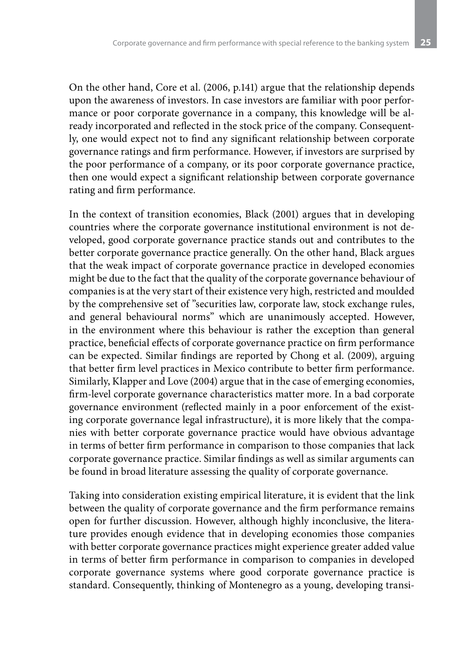On the other hand, Core et al. (2006, p.141) argue that the relationship depends upon the awareness of investors. In case investors are familiar with poor performance or poor corporate governance in a company, this knowledge will be already incorporated and reflected in the stock price of the company. Consequently, one would expect not to find any significant relationship between corporate governance ratings and firm performance. However, if investors are surprised by the poor performance of a company, or its poor corporate governance practice, then one would expect a significant relationship between corporate governance rating and firm performance.

In the context of transition economies, Black (2001) argues that in developing countries where the corporate governance institutional environment is not developed, good corporate governance practice stands out and contributes to the better corporate governance practice generally. On the other hand, Black argues that the weak impact of corporate governance practice in developed economies might be due to the fact that the quality of the corporate governance behaviour of companies is at the very start of their existence very high, restricted and moulded by the comprehensive set of "securities law, corporate law, stock exchange rules, and general behavioural norms" which are unanimously accepted. However, in the environment where this behaviour is rather the exception than general practice, beneficial effects of corporate governance practice on firm performance can be expected. Similar findings are reported by Chong et al. (2009), arguing that better firm level practices in Mexico contribute to better firm performance. Similarly, Klapper and Love (2004) argue that in the case of emerging economies, firm-level corporate governance characteristics matter more. In a bad corporate governance environment (reflected mainly in a poor enforcement of the existing corporate governance legal infrastructure), it is more likely that the companies with better corporate governance practice would have obvious advantage in terms of better firm performance in comparison to those companies that lack corporate governance practice. Similar findings as well as similar arguments can be found in broad literature assessing the quality of corporate governance.

Taking into consideration existing empirical literature, it is evident that the link between the quality of corporate governance and the firm performance remains open for further discussion. However, although highly inconclusive, the literature provides enough evidence that in developing economies those companies with better corporate governance practices might experience greater added value in terms of better firm performance in comparison to companies in developed corporate governance systems where good corporate governance practice is standard. Consequently, thinking of Montenegro as a young, developing transi-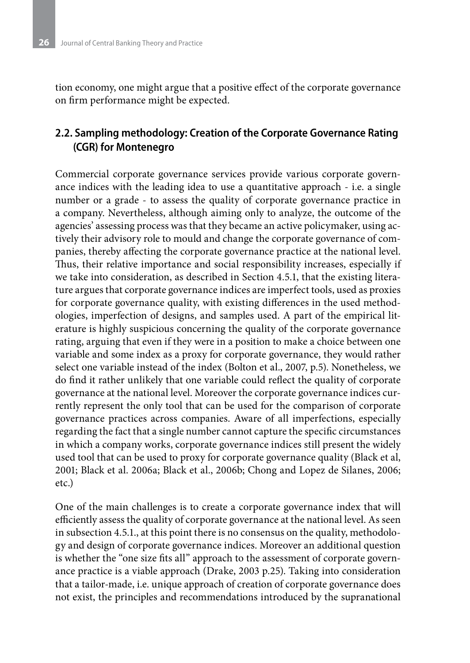tion economy, one might argue that a positive effect of the corporate governance on firm performance might be expected.

### **2.2. Sampling methodology: Creation of the Corporate Governance Rating (CGR) for Montenegro**

Commercial corporate governance services provide various corporate governance indices with the leading idea to use a quantitative approach - i.e. a single number or a grade - to assess the quality of corporate governance practice in a company. Nevertheless, although aiming only to analyze, the outcome of the agencies' assessing process was that they became an active policymaker, using actively their advisory role to mould and change the corporate governance of companies, thereby affecting the corporate governance practice at the national level. Thus, their relative importance and social responsibility increases, especially if we take into consideration, as described in Section 4.5.1, that the existing literature argues that corporate governance indices are imperfect tools, used as proxies for corporate governance quality, with existing differences in the used methodologies, imperfection of designs, and samples used. A part of the empirical literature is highly suspicious concerning the quality of the corporate governance rating, arguing that even if they were in a position to make a choice between one variable and some index as a proxy for corporate governance, they would rather select one variable instead of the index (Bolton et al., 2007, p.5). Nonetheless, we do find it rather unlikely that one variable could reflect the quality of corporate governance at the national level. Moreover the corporate governance indices currently represent the only tool that can be used for the comparison of corporate governance practices across companies. Aware of all imperfections, especially regarding the fact that a single number cannot capture the specific circumstances in which a company works, corporate governance indices still present the widely used tool that can be used to proxy for corporate governance quality (Black et al, 2001; Black et al. 2006a; Black et al., 2006b; Chong and Lopez de Silanes, 2006; etc.)

One of the main challenges is to create a corporate governance index that will efficiently assess the quality of corporate governance at the national level. As seen in subsection 4.5.1., at this point there is no consensus on the quality, methodology and design of corporate governance indices. Moreover an additional question is whether the "one size fits all" approach to the assessment of corporate governance practice is a viable approach (Drake, 2003 p.25). Taking into consideration that a tailor-made, i.e. unique approach of creation of corporate governance does not exist, the principles and recommendations introduced by the supranational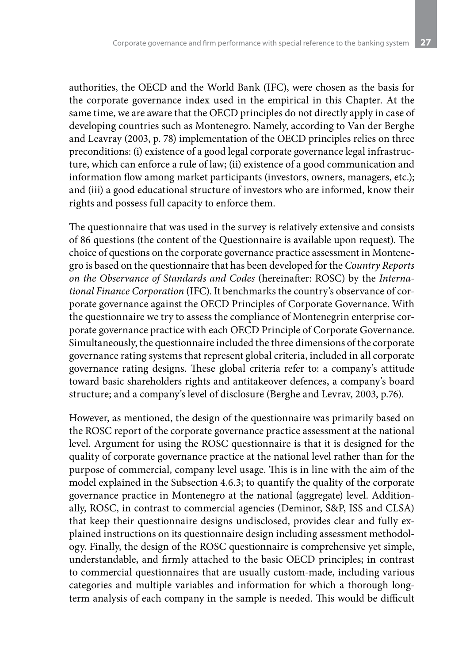authorities, the OECD and the World Bank (IFC), were chosen as the basis for the corporate governance index used in the empirical in this Chapter. At the same time, we are aware that the OECD principles do not directly apply in case of developing countries such as Montenegro. Namely, according to Van der Berghe and Leavray (2003, p. 78) implementation of the OECD principles relies on three preconditions: (i) existence of a good legal corporate governance legal infrastructure, which can enforce a rule of law; (ii) existence of a good communication and information flow among market participants (investors, owners, managers, etc.); and (iii) a good educational structure of investors who are informed, know their rights and possess full capacity to enforce them.

The questionnaire that was used in the survey is relatively extensive and consists of 86 questions (the content of the Questionnaire is available upon request). The choice of questions on the corporate governance practice assessment in Montenegro is based on the questionnaire that has been developed for the *Country Reports on the Observance of Standards and Codes* (hereinafter: ROSC) by the *International Finance Corporation* (IFC). It benchmarks the country's observance of corporate governance against the OECD Principles of Corporate Governance. With the questionnaire we try to assess the compliance of Montenegrin enterprise corporate governance practice with each OECD Principle of Corporate Governance. Simultaneously, the questionnaire included the three dimensions of the corporate governance rating systems that represent global criteria, included in all corporate governance rating designs. These global criteria refer to: a company's attitude toward basic shareholders rights and antitakeover defences, a company's board structure; and a company's level of disclosure (Berghe and Levrav, 2003, p.76).

However, as mentioned, the design of the questionnaire was primarily based on the ROSC report of the corporate governance practice assessment at the national level. Argument for using the ROSC questionnaire is that it is designed for the quality of corporate governance practice at the national level rather than for the purpose of commercial, company level usage. This is in line with the aim of the model explained in the Subsection 4.6.3; to quantify the quality of the corporate governance practice in Montenegro at the national (aggregate) level. Additionally, ROSC, in contrast to commercial agencies (Deminor, S&P, ISS and CLSA) that keep their questionnaire designs undisclosed, provides clear and fully explained instructions on its questionnaire design including assessment methodology. Finally, the design of the ROSC questionnaire is comprehensive yet simple, understandable, and firmly attached to the basic OECD principles; in contrast to commercial questionnaires that are usually custom-made, including various categories and multiple variables and information for which a thorough longterm analysis of each company in the sample is needed. This would be difficult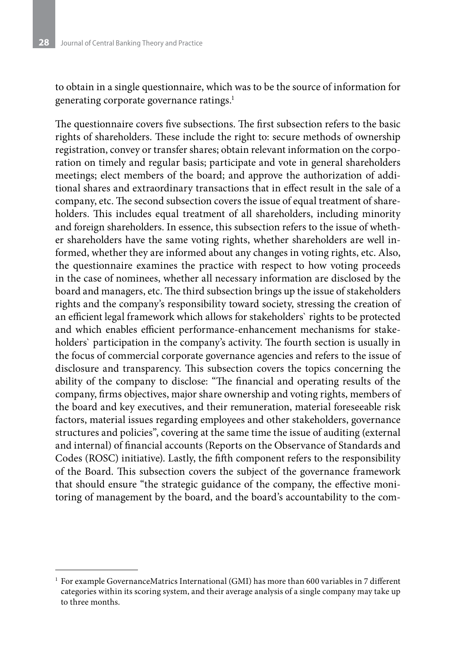to obtain in a single questionnaire, which was to be the source of information for generating corporate governance ratings.<sup>1</sup>

The questionnaire covers five subsections. The first subsection refers to the basic rights of shareholders. These include the right to: secure methods of ownership registration, convey or transfer shares; obtain relevant information on the corporation on timely and regular basis; participate and vote in general shareholders meetings; elect members of the board; and approve the authorization of additional shares and extraordinary transactions that in effect result in the sale of a company, etc. The second subsection covers the issue of equal treatment of shareholders. This includes equal treatment of all shareholders, including minority and foreign shareholders. In essence, this subsection refers to the issue of whether shareholders have the same voting rights, whether shareholders are well informed, whether they are informed about any changes in voting rights, etc. Also, the questionnaire examines the practice with respect to how voting proceeds in the case of nominees, whether all necessary information are disclosed by the board and managers, etc. The third subsection brings up the issue of stakeholders rights and the company's responsibility toward society, stressing the creation of an efficient legal framework which allows for stakeholders` rights to be protected and which enables efficient performance-enhancement mechanisms for stakeholders` participation in the company's activity. The fourth section is usually in the focus of commercial corporate governance agencies and refers to the issue of disclosure and transparency. This subsection covers the topics concerning the ability of the company to disclose: "The financial and operating results of the company, firms objectives, major share ownership and voting rights, members of the board and key executives, and their remuneration, material foreseeable risk factors, material issues regarding employees and other stakeholders, governance structures and policies", covering at the same time the issue of auditing (external and internal) of financial accounts (Reports on the Observance of Standards and Codes (ROSC) initiative). Lastly, the fifth component refers to the responsibility of the Board. This subsection covers the subject of the governance framework that should ensure "the strategic guidance of the company, the effective monitoring of management by the board, and the board's accountability to the com-

 $^{\rm 1}$  For example GovernanceMatrics International (GMI) has more than 600 variables in 7 different categories within its scoring system, and their average analysis of a single company may take up to three months.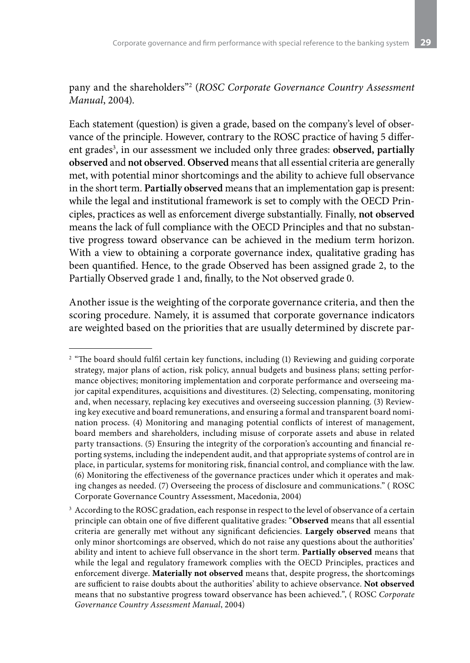pany and the shareholders"2 (*ROSC Corporate Governance Country Assessment Manual*, 2004).

Each statement (question) is given a grade, based on the company's level of observance of the principle. However, contrary to the ROSC practice of having 5 different grades<sup>3</sup>, in our assessment we included only three grades: **observed, partially observed** and **not observed**. **Observed** means that all essential criteria are generally met, with potential minor shortcomings and the ability to achieve full observance in the short term. **Partially observed** means that an implementation gap is present: while the legal and institutional framework is set to comply with the OECD Principles, practices as well as enforcement diverge substantially. Finally, **not observed** means the lack of full compliance with the OECD Principles and that no substantive progress toward observance can be achieved in the medium term horizon. With a view to obtaining a corporate governance index, qualitative grading has been quantified. Hence, to the grade Observed has been assigned grade 2, to the Partially Observed grade 1 and, finally, to the Not observed grade 0.

Another issue is the weighting of the corporate governance criteria, and then the scoring procedure. Namely, it is assumed that corporate governance indicators are weighted based on the priorities that are usually determined by discrete par-

<sup>&</sup>lt;sup>2</sup> "The board should fulfil certain key functions, including (1) Reviewing and guiding corporate strategy, major plans of action, risk policy, annual budgets and business plans; setting performance objectives; monitoring implementation and corporate performance and overseeing major capital expenditures, acquisitions and divestitures. (2) Selecting, compensating, monitoring and, when necessary, replacing key executives and overseeing succession planning. (3) Reviewing key executive and board remunerations, and ensuring a formal and transparent board nomination process. (4) Monitoring and managing potential conflicts of interest of management, board members and shareholders, including misuse of corporate assets and abuse in related party transactions. (5) Ensuring the integrity of the corporation's accounting and financial reporting systems, including the independent audit, and that appropriate systems of control are in place, in particular, systems for monitoring risk, financial control, and compliance with the law. (6) Monitoring the effectiveness of the governance practices under which it operates and making changes as needed. (7) Overseeing the process of disclosure and communications." ( ROSC Corporate Governance Country Assessment, Macedonia, 2004)

<sup>&</sup>lt;sup>3</sup> According to the ROSC gradation, each response in respect to the level of observance of a certain principle can obtain one of five different qualitative grades: "**Observed** means that all essential criteria are generally met without any significant deficiencies. **Largely observed** means that only minor shortcomings are observed, which do not raise any questions about the authorities' ability and intent to achieve full observance in the short term. **Partially observed** means that while the legal and regulatory framework complies with the OECD Principles, practices and enforcement diverge. **Materially not observed** means that, despite progress, the shortcomings are sufficient to raise doubts about the authorities' ability to achieve observance. **Not observed**  means that no substantive progress toward observance has been achieved.", ( ROSC *Corporate Governance Country Assessment Manual*, 2004)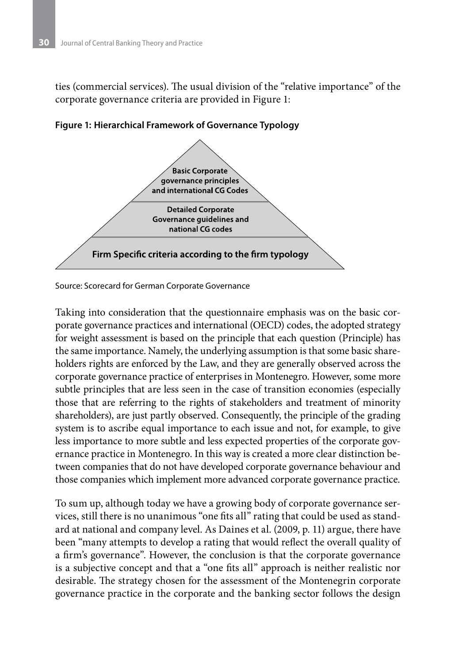ties (commercial services). The usual division of the "relative importance" of the corporate governance criteria are provided in Figure 1:



**Figure 1: Hierarchical Framework of Governance Typology** 

Source: Scorecard for German Corporate Governance

Taking into consideration that the questionnaire emphasis was on the basic corporate governance practices and international (OECD) codes, the adopted strategy for weight assessment is based on the principle that each question (Principle) has the same importance. Namely, the underlying assumption is that some basic shareholders rights are enforced by the Law, and they are generally observed across the corporate governance practice of enterprises in Montenegro. However, some more subtle principles that are less seen in the case of transition economies (especially those that are referring to the rights of stakeholders and treatment of minority shareholders), are just partly observed. Consequently, the principle of the grading system is to ascribe equal importance to each issue and not, for example, to give less importance to more subtle and less expected properties of the corporate governance practice in Montenegro. In this way is created a more clear distinction between companies that do not have developed corporate governance behaviour and those companies which implement more advanced corporate governance practice.

To sum up, although today we have a growing body of corporate governance services, still there is no unanimous "one fits all" rating that could be used as standard at national and company level. As Daines et al. (2009, p. 11) argue, there have been "many attempts to develop a rating that would reflect the overall quality of a firm's governance". However, the conclusion is that the corporate governance is a subjective concept and that a "one fits all" approach is neither realistic nor desirable. The strategy chosen for the assessment of the Montenegrin corporate governance practice in the corporate and the banking sector follows the design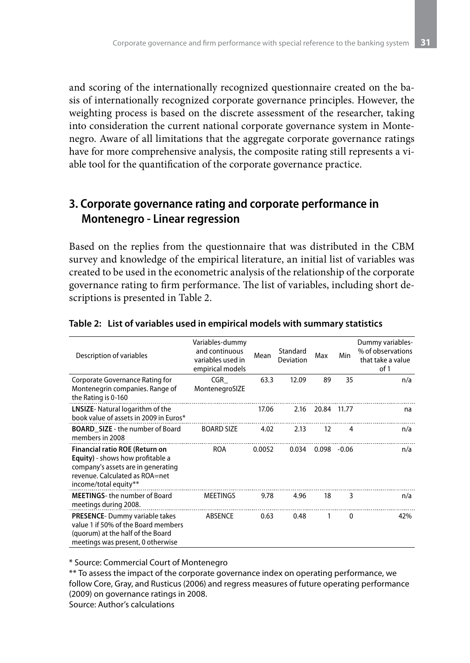and scoring of the internationally recognized questionnaire created on the basis of internationally recognized corporate governance principles. However, the weighting process is based on the discrete assessment of the researcher, taking into consideration the current national corporate governance system in Montenegro. Aware of all limitations that the aggregate corporate governance ratings have for more comprehensive analysis, the composite rating still represents a viable tool for the quantification of the corporate governance practice.

# **3. Corporate governance rating and corporate performance in Montenegro - Linear regression**

Based on the replies from the questionnaire that was distributed in the CBM survey and knowledge of the empirical literature, an initial list of variables was created to be used in the econometric analysis of the relationship of the corporate governance rating to firm performance. The list of variables, including short descriptions is presented in Table 2.

| Description of variables                                                                                                                                                           | Variables-dummy<br>and continuous<br>variables used in<br>empirical models | Mean   | Standard<br>Deviation | Max   | Min          | Dummy variables-<br>% of observations<br>that take a value<br>of 1 |
|------------------------------------------------------------------------------------------------------------------------------------------------------------------------------------|----------------------------------------------------------------------------|--------|-----------------------|-------|--------------|--------------------------------------------------------------------|
| Corporate Governance Rating for<br>Montenegrin companies. Range of<br>the Rating is 0-160                                                                                          | CGR<br>MontenegroSIZE                                                      | 63.3   | 12.09                 | 89    | 35           | n/a                                                                |
| <b>LNSIZE-</b> Natural logarithm of the<br>book value of assets in 2009 in Euros*                                                                                                  |                                                                            | 17.06  | 2.16                  | 20.84 | 11.77        | na                                                                 |
| <b>BOARD SIZE</b> - the number of Board<br>members in 2008                                                                                                                         | <b>BOARD SIZE</b>                                                          | 4.02   | 2.13                  | 12    | 4            | n/a                                                                |
| <b>Financial ratio ROE (Return on</b><br><b>Equity</b> ) - shows how profitable a<br>company's assets are in generating<br>revenue. Calculated as ROA=net<br>income/total equity** | ROA                                                                        | 0.0052 | 0.034                 | 0.098 | $-0.06$      | n/a                                                                |
| <b>MEETINGS-the number of Board</b><br>meetings during 2008.                                                                                                                       | <b>MEETINGS</b>                                                            | 9.78   | 4.96                  | 18    | 3            | n/a                                                                |
| <b>PRESENCE-Dummy variable takes</b><br>value 1 if 50% of the Board members<br>(quorum) at the half of the Board<br>meetings was present, 0 otherwise                              | ABSENCE                                                                    | 0.63   | 0.48                  | 1     | $\mathbf{0}$ | 42%                                                                |

#### **Table 2: List of variables used in empirical models with summary statistics**

\* Source: Commercial Court of Montenegro

\*\* To assess the impact of the corporate governance index on operating performance, we follow Core, Gray, and Rusticus (2006) and regress measures of future operating performance (2009) on governance ratings in 2008. Source: Author's calculations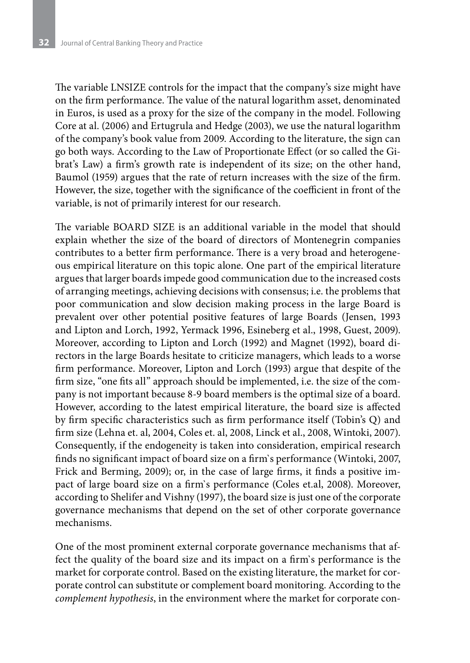The variable LNSIZE controls for the impact that the company's size might have on the firm performance. The value of the natural logarithm asset, denominated in Euros, is used as a proxy for the size of the company in the model. Following Core at al. (2006) and Ertugrula and Hedge (2003), we use the natural logarithm of the company's book value from 2009. According to the literature, the sign can go both ways. According to the Law of Proportionate Effect (or so called the Gibrat's Law) a firm's growth rate is independent of its size; on the other hand, Baumol (1959) argues that the rate of return increases with the size of the firm. However, the size, together with the significance of the coefficient in front of the variable, is not of primarily interest for our research.

The variable BOARD SIZE is an additional variable in the model that should explain whether the size of the board of directors of Montenegrin companies contributes to a better firm performance. There is a very broad and heterogeneous empirical literature on this topic alone. One part of the empirical literature argues that larger boards impede good communication due to the increased costs of arranging meetings, achieving decisions with consensus; i.e. the problems that poor communication and slow decision making process in the large Board is prevalent over other potential positive features of large Boards (Jensen, 1993 and Lipton and Lorch, 1992, Yermack 1996, Esineberg et al., 1998, Guest, 2009). Moreover, according to Lipton and Lorch (1992) and Magnet (1992), board directors in the large Boards hesitate to criticize managers, which leads to a worse firm performance. Moreover, Lipton and Lorch (1993) argue that despite of the firm size, "one fits all" approach should be implemented, i.e. the size of the company is not important because 8-9 board members is the optimal size of a board. However, according to the latest empirical literature, the board size is affected by firm specific characteristics such as firm performance itself (Tobin's Q) and firm size (Lehna et. al, 2004, Coles et. al, 2008, Linck et al., 2008, Wintoki, 2007). Consequently, if the endogeneity is taken into consideration, empirical research finds no significant impact of board size on a firm`s performance (Wintoki, 2007, Frick and Berming, 2009); or, in the case of large firms, it finds a positive impact of large board size on a firm`s performance (Coles et.al, 2008). Moreover, according to Shelifer and Vishny (1997), the board size is just one of the corporate governance mechanisms that depend on the set of other corporate governance mechanisms.

One of the most prominent external corporate governance mechanisms that affect the quality of the board size and its impact on a firm`s performance is the market for corporate control. Based on the existing literature, the market for corporate control can substitute or complement board monitoring. According to the *complement hypothesis*, in the environment where the market for corporate con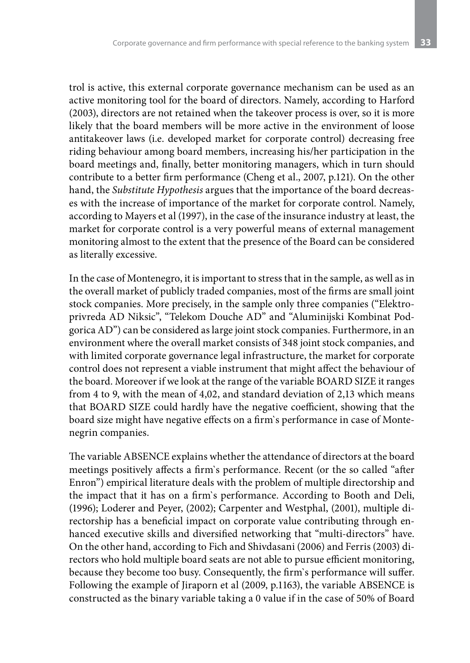trol is active, this external corporate governance mechanism can be used as an active monitoring tool for the board of directors. Namely, according to Harford (2003), directors are not retained when the takeover process is over, so it is more likely that the board members will be more active in the environment of loose antitakeover laws (i.e. developed market for corporate control) decreasing free riding behaviour among board members, increasing his/her participation in the board meetings and, finally, better monitoring managers, which in turn should contribute to a better firm performance (Cheng et al., 2007, p.121). On the other hand, the *Substitute Hypothesis* argues that the importance of the board decreases with the increase of importance of the market for corporate control. Namely, according to Mayers et al (1997), in the case of the insurance industry at least, the market for corporate control is a very powerful means of external management monitoring almost to the extent that the presence of the Board can be considered as literally excessive.

In the case of Montenegro, it is important to stress that in the sample, as well as in the overall market of publicly traded companies, most of the firms are small joint stock companies. More precisely, in the sample only three companies ("Elektroprivreda AD Niksic", "Telekom Douche AD" and "Aluminijski Kombinat Podgorica AD") can be considered as large joint stock companies. Furthermore, in an environment where the overall market consists of 348 joint stock companies, and with limited corporate governance legal infrastructure, the market for corporate control does not represent a viable instrument that might affect the behaviour of the board. Moreover if we look at the range of the variable BOARD SIZE it ranges from 4 to 9, with the mean of 4,02, and standard deviation of 2,13 which means that BOARD SIZE could hardly have the negative coefficient, showing that the board size might have negative effects on a firm`s performance in case of Montenegrin companies.

The variable ABSENCE explains whether the attendance of directors at the board meetings positively affects a firm`s performance. Recent (or the so called "after Enron") empirical literature deals with the problem of multiple directorship and the impact that it has on a firm`s performance. According to Booth and Deli, (1996); Loderer and Peyer, (2002); Carpenter and Westphal, (2001), multiple directorship has a beneficial impact on corporate value contributing through enhanced executive skills and diversified networking that "multi-directors" have. On the other hand, according to Fich and Shivdasani (2006) and Ferris (2003) directors who hold multiple board seats are not able to pursue efficient monitoring, because they become too busy. Consequently, the firm`s performance will suffer. Following the example of Jiraporn et al (2009, p.1163), the variable ABSENCE is constructed as the binary variable taking a 0 value if in the case of 50% of Board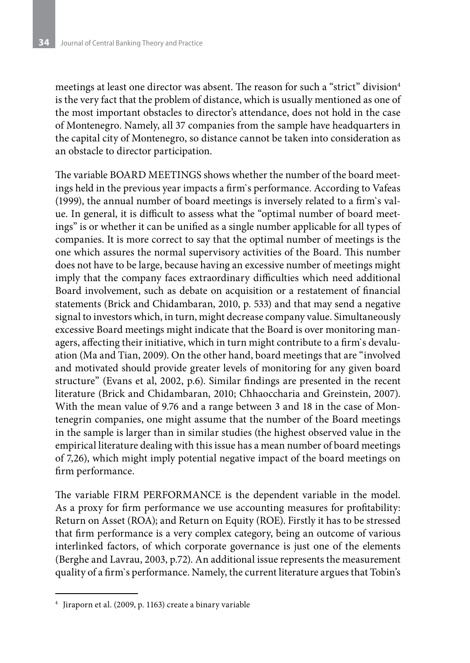meetings at least one director was absent. The reason for such a "strict" division<sup>4</sup> is the very fact that the problem of distance, which is usually mentioned as one of the most important obstacles to director's attendance, does not hold in the case of Montenegro. Namely, all 37 companies from the sample have headquarters in the capital city of Montenegro, so distance cannot be taken into consideration as an obstacle to director participation.

The variable BOARD MEETINGS shows whether the number of the board meetings held in the previous year impacts a firm`s performance. According to Vafeas (1999), the annual number of board meetings is inversely related to a firm`s value. In general, it is difficult to assess what the "optimal number of board meetings" is or whether it can be unified as a single number applicable for all types of companies. It is more correct to say that the optimal number of meetings is the one which assures the normal supervisory activities of the Board. This number does not have to be large, because having an excessive number of meetings might imply that the company faces extraordinary difficulties which need additional Board involvement, such as debate on acquisition or a restatement of financial statements (Brick and Chidambaran, 2010, p. 533) and that may send a negative signal to investors which, in turn, might decrease company value. Simultaneously excessive Board meetings might indicate that the Board is over monitoring managers, affecting their initiative, which in turn might contribute to a firm`s devaluation (Ma and Tian, 2009). On the other hand, board meetings that are "involved and motivated should provide greater levels of monitoring for any given board structure" (Evans et al, 2002, p.6). Similar findings are presented in the recent literature (Brick and Chidambaran, 2010; Chhaoccharia and Greinstein, 2007). With the mean value of 9.76 and a range between 3 and 18 in the case of Montenegrin companies, one might assume that the number of the Board meetings in the sample is larger than in similar studies (the highest observed value in the empirical literature dealing with this issue has a mean number of board meetings of 7,26), which might imply potential negative impact of the board meetings on firm performance.

The variable FIRM PERFORMANCE is the dependent variable in the model. As a proxy for firm performance we use accounting measures for profitability: Return on Asset (ROA); and Return on Equity (ROE). Firstly it has to be stressed that firm performance is a very complex category, being an outcome of various interlinked factors, of which corporate governance is just one of the elements (Berghe and Lavrau, 2003, p.72). An additional issue represents the measurement quality of a firm`s performance. Namely, the current literature argues that Tobin's

<sup>4</sup> Jiraporn et al. (2009, p. 1163) create a binary variable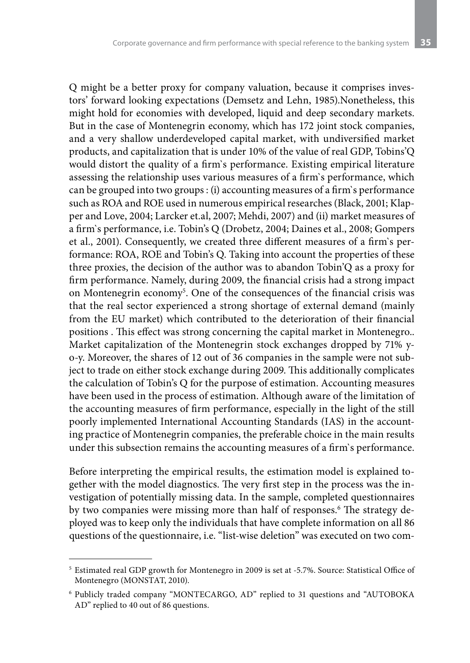Q might be a better proxy for company valuation, because it comprises investors' forward looking expectations (Demsetz and Lehn, 1985).Nonetheless, this might hold for economies with developed, liquid and deep secondary markets. But in the case of Montenegrin economy, which has 172 joint stock companies, and a very shallow underdeveloped capital market, with undiversified market products, and capitalization that is under 10% of the value of real GDP, Tobins'Q would distort the quality of a firm`s performance. Existing empirical literature assessing the relationship uses various measures of a firm`s performance, which can be grouped into two groups : (i) accounting measures of a firm`s performance such as ROA and ROE used in numerous empirical researches (Black, 2001; Klapper and Love, 2004; Larcker et.al, 2007; Mehdi, 2007) and (ii) market measures of a firm`s performance, i.e. Tobin's Q (Drobetz, 2004; Daines et al., 2008; Gompers et al., 2001). Consequently, we created three different measures of a firm`s performance: ROA, ROE and Tobin's Q. Taking into account the properties of these three proxies, the decision of the author was to abandon Tobin'Q as a proxy for firm performance. Namely, during 2009, the financial crisis had a strong impact on Montenegrin economy<sup>5</sup>. One of the consequences of the financial crisis was that the real sector experienced a strong shortage of external demand (mainly from the EU market) which contributed to the deterioration of their financial positions . This effect was strong concerning the capital market in Montenegro.. Market capitalization of the Montenegrin stock exchanges dropped by 71% yo-y. Moreover, the shares of 12 out of 36 companies in the sample were not subject to trade on either stock exchange during 2009. This additionally complicates the calculation of Tobin's Q for the purpose of estimation. Accounting measures have been used in the process of estimation. Although aware of the limitation of the accounting measures of firm performance, especially in the light of the still poorly implemented International Accounting Standards (IAS) in the accounting practice of Montenegrin companies, the preferable choice in the main results under this subsection remains the accounting measures of a firm`s performance.

Before interpreting the empirical results, the estimation model is explained together with the model diagnostics. The very first step in the process was the investigation of potentially missing data. In the sample, completed questionnaires by two companies were missing more than half of responses.<sup>6</sup> The strategy deployed was to keep only the individuals that have complete information on all 86 questions of the questionnaire, i.e. "list-wise deletion" was executed on two com-

<sup>5</sup> Estimated real GDP growth for Montenegro in 2009 is set at -5.7%. Source: Statistical Office of Montenegro (MONSTAT, 2010).

<sup>6</sup> Publicly traded company "MONTECARGO, AD" replied to 31 questions and "AUTOBOKA AD" replied to 40 out of 86 questions.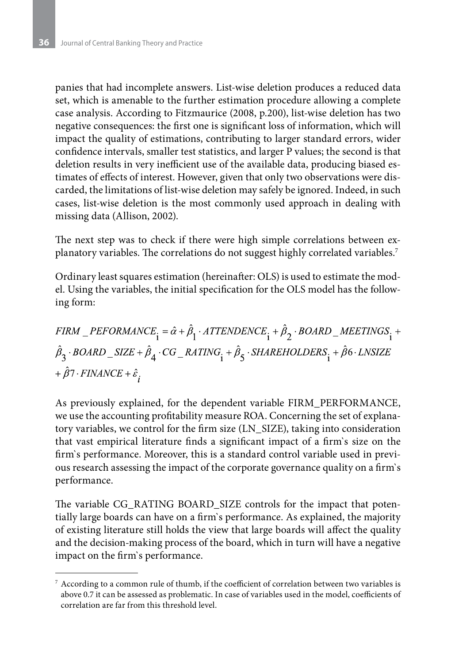panies that had incomplete answers. List-wise deletion produces a reduced data set, which is amenable to the further estimation procedure allowing a complete case analysis. According to Fitzmaurice (2008, p.200), list-wise deletion has two negative consequences: the first one is significant loss of information, which will impact the quality of estimations, contributing to larger standard errors, wider confidence intervals, smaller test statistics, and larger P values; the second is that deletion results in very inefficient use of the available data, producing biased estimates of effects of interest. However, given that only two observations were discarded, the limitations of list-wise deletion may safely be ignored. Indeed, in such cases, list-wise deletion is the most commonly used approach in dealing with missing data (Allison, 2002).

The next step was to check if there were high simple correlations between explanatory variables. The correlations do not suggest highly correlated variables.7

Ordinary least squares estimation (hereinafter: OLS) is used to estimate the model. Using the variables, the initial specification for the OLS model has the following form:

$$
\begin{aligned} \label{eq:3} &FIRM\_PEFORMANCE_{\textbf{i}} = \hat{\alpha} + \hat{\beta}_{\textbf{l}} \cdot \textit{ATTENDENCE}_{\textbf{i}} + \hat{\beta}_{\textbf{2}} \cdot \textit{BOARD\_MEETINGS}_{\textbf{i}} +\\ &\hat{\beta}_{\textbf{3}} \cdot \textit{BOARD\_SIZE} + \hat{\beta}_{\textbf{4}} \cdot \textit{CG\_RATING}_{\textbf{i}} + \hat{\beta}_{\textbf{5}} \cdot \textit{SHAREHOLDERS}_{\textbf{i}} + \hat{\beta} \textbf{6} \cdot \textit{LNSIZE} \\ &+ \hat{\beta} \textbf{7} \cdot \textit{FINANCE} + \hat{\varepsilon}_{\textbf{i}} \end{aligned}
$$

As previously explained, for the dependent variable FIRM\_PERFORMANCE, we use the accounting profitability measure ROA. Concerning the set of explanatory variables, we control for the firm size (LN\_SIZE), taking into consideration that vast empirical literature finds a significant impact of a firm`s size on the firm`s performance. Moreover, this is a standard control variable used in previous research assessing the impact of the corporate governance quality on a firm`s performance.

The variable CG\_RATING BOARD\_SIZE controls for the impact that potentially large boards can have on a firm`s performance. As explained, the majority of existing literature still holds the view that large boards will affect the quality and the decision-making process of the board, which in turn will have a negative impact on the firm`s performance.

 $^7$  According to a common rule of thumb, if the coefficient of correlation between two variables is above 0.7 it can be assessed as problematic. In case of variables used in the model, coefficients of correlation are far from this threshold level.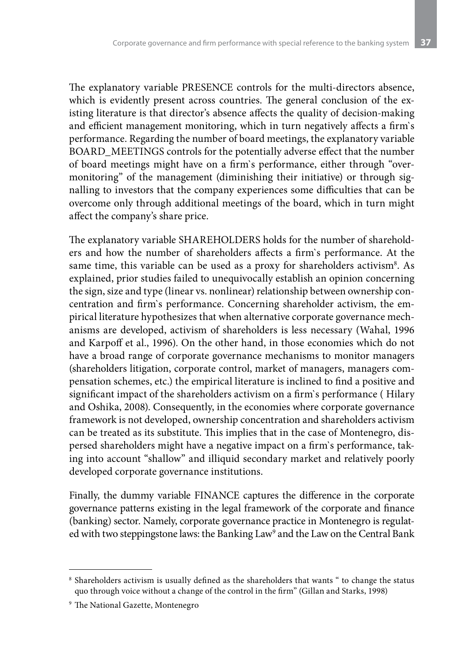The explanatory variable PRESENCE controls for the multi-directors absence, which is evidently present across countries. The general conclusion of the existing literature is that director's absence affects the quality of decision-making and efficient management monitoring, which in turn negatively affects a firm`s performance. Regarding the number of board meetings, the explanatory variable BOARD\_MEETINGS controls for the potentially adverse effect that the number of board meetings might have on a firm`s performance, either through "overmonitoring" of the management (diminishing their initiative) or through signalling to investors that the company experiences some difficulties that can be overcome only through additional meetings of the board, which in turn might affect the company's share price.

The explanatory variable SHAREHOLDERS holds for the number of shareholders and how the number of shareholders affects a firm`s performance. At the same time, this variable can be used as a proxy for shareholders activism<sup>8</sup>. As explained, prior studies failed to unequivocally establish an opinion concerning the sign, size and type (linear vs. nonlinear) relationship between ownership concentration and firm`s performance. Concerning shareholder activism, the empirical literature hypothesizes that when alternative corporate governance mechanisms are developed, activism of shareholders is less necessary (Wahal, 1996 and Karpoff et al., 1996). On the other hand, in those economies which do not have a broad range of corporate governance mechanisms to monitor managers (shareholders litigation, corporate control, market of managers, managers compensation schemes, etc.) the empirical literature is inclined to find a positive and significant impact of the shareholders activism on a firm`s performance ( Hilary and Oshika, 2008). Consequently, in the economies where corporate governance framework is not developed, ownership concentration and shareholders activism can be treated as its substitute. This implies that in the case of Montenegro, dispersed shareholders might have a negative impact on a firm`s performance, taking into account "shallow" and illiquid secondary market and relatively poorly developed corporate governance institutions.

Finally, the dummy variable FINANCE captures the difference in the corporate governance patterns existing in the legal framework of the corporate and finance (banking) sector. Namely, corporate governance practice in Montenegro is regulated with two steppingstone laws: the Banking Law<sup>9</sup> and the Law on the Central Bank

<sup>8</sup> Shareholders activism is usually defined as the shareholders that wants " to change the status quo through voice without a change of the control in the firm" (Gillan and Starks, 1998)

<sup>9</sup> The National Gazette, Montenegro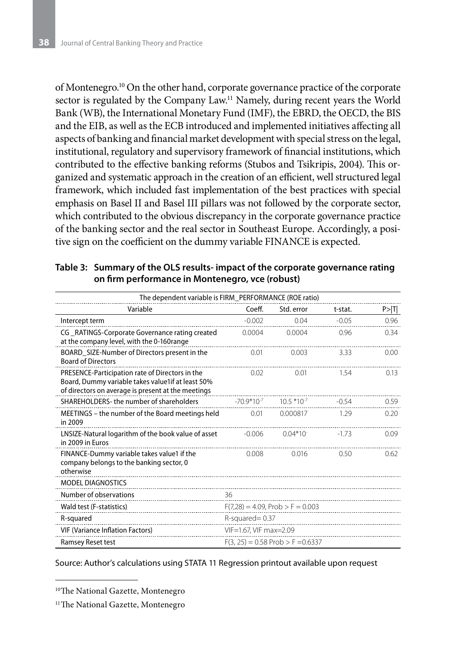of Montenegro.10 On the other hand, corporate governance practice of the corporate sector is regulated by the Company Law.11 Namely, during recent years the World Bank (WB), the International Monetary Fund (IMF), the EBRD, the OECD, the BIS and the EIB, as well as the ECB introduced and implemented initiatives affecting all aspects of banking and financial market development with special stress on the legal, institutional, regulatory and supervisory framework of financial institutions, which contributed to the effective banking reforms (Stubos and Tsikripis, 2004). This organized and systematic approach in the creation of an efficient, well structured legal framework, which included fast implementation of the best practices with special emphasis on Basel II and Basel III pillars was not followed by the corporate sector, which contributed to the obvious discrepancy in the corporate governance practice of the banking sector and the real sector in Southeast Europe. Accordingly, a positive sign on the coefficient on the dummy variable FINANCE is expected.

| Table 3: Summary of the OLS results-impact of the corporate governance rating |
|-------------------------------------------------------------------------------|
| on firm performance in Montenegro, vce (robust)                               |

| The dependent variable is FIRM_PERFORMANCE (ROE ratio)                                                                                                     |                                     |               |         |        |  |  |
|------------------------------------------------------------------------------------------------------------------------------------------------------------|-------------------------------------|---------------|---------|--------|--|--|
| Variable                                                                                                                                                   | Coeff.                              | Std. error    | t-stat. | P >  T |  |  |
| Intercept term                                                                                                                                             | $-0.002$                            | 0.04          | $-0.05$ | 0.96   |  |  |
| CG RATINGS-Corporate Governance rating created<br>at the company level, with the 0-160range                                                                | 0.0004                              | 0.0004        | 0.96    | 0.34   |  |  |
| BOARD_SIZE-Number of Directors present in the<br><b>Board of Directors</b>                                                                                 | 0.01                                | 0.003         | 3.33    | 0.00   |  |  |
| PRESENCE-Participation rate of Directors in the<br>Board, Dummy variable takes value1if at least 50%<br>of directors on average is present at the meetings | 0.02                                | 0.01          | 1.54    | 0.13   |  |  |
| SHAREHOLDERS- the number of shareholders                                                                                                                   | $-70.9*10^{-7}$                     | $10.5*10-7$   | $-0.54$ | 0.59   |  |  |
| MEETINGS – the number of the Board meetings held<br>in 2009                                                                                                | 0.01                                | 0.000817      | 1.29    | 0.20   |  |  |
| LNSIZE-Natural logarithm of the book value of asset<br>in 2009 in Euros                                                                                    | $-0.006$                            | $0.04*10^{-}$ | $-1.73$ | 0.09   |  |  |
| FINANCE-Dummy variable takes value1 if the<br>company belongs to the banking sector, 0<br>otherwise                                                        | 0.008                               | 0.016         | 0.50    | 0.62   |  |  |
| MODEL DIAGNOSTICS                                                                                                                                          |                                     |               |         |        |  |  |
| Number of observations                                                                                                                                     | 36                                  |               |         |        |  |  |
| Wald test (F-statistics)                                                                                                                                   | $F(7,28) = 4.09$ , Prob > F = 0.003 |               |         |        |  |  |
| R-squared                                                                                                                                                  | $R$ -squared = 0.37                 |               |         |        |  |  |
| <b>VIF (Variance Inflation Factors)</b>                                                                                                                    | VIF=1.67, VIF max=2.09              |               |         |        |  |  |
| Ramsey Reset test                                                                                                                                          | $F(3, 25) = 0.58$ Prob > F = 0.6337 |               |         |        |  |  |

Source: Author's calculations using STATA 11 Regression printout available upon request

<sup>&</sup>lt;sup>10</sup>The National Gazette, Montenegro

<sup>&</sup>lt;sup>11</sup>The National Gazette, Montenegro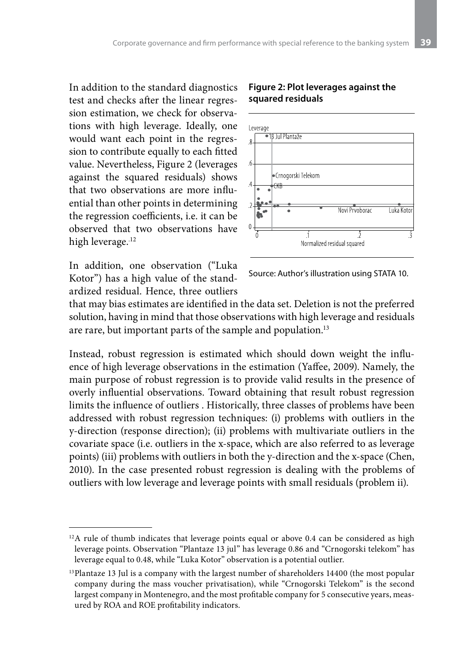In addition to the standard diagnostics test and checks after the linear regression estimation, we check for observations with high leverage. Ideally, one would want each point in the regression to contribute equally to each fitted value. Nevertheless, Figure 2 (leverages against the squared residuals) shows that two observations are more influential than other points in determining the regression coefficients, i.e. it can be observed that two observations have high leverage.<sup>12</sup>

In addition, one observation ("Luka Kotor") has a high value of the standardized residual. Hence, three outliers





Source: Author's illustration using STATA 10.

that may bias estimates are identified in the data set. Deletion is not the preferred solution, having in mind that those observations with high leverage and residuals are rare, but important parts of the sample and population.<sup>13</sup>

Instead, robust regression is estimated which should down weight the influence of high leverage observations in the estimation (Yaffee, 2009). Namely, the main purpose of robust regression is to provide valid results in the presence of overly influential observations. Toward obtaining that result robust regression limits the influence of outliers . Historically, three classes of problems have been addressed with robust regression techniques: (i) problems with outliers in the y-direction (response direction); (ii) problems with multivariate outliers in the covariate space (i.e. outliers in the x-space, which are also referred to as leverage points) (iii) problems with outliers in both the y-direction and the x-space (Chen, 2010). In the case presented robust regression is dealing with the problems of outliers with low leverage and leverage points with small residuals (problem ii).

<sup>&</sup>lt;sup>12</sup>A rule of thumb indicates that leverage points equal or above 0.4 can be considered as high leverage points. Observation "Plantaze 13 jul" has leverage 0.86 and "Crnogorski telekom" has leverage equal to 0.48, while "Luka Kotor" observation is a potential outlier.

<sup>&</sup>lt;sup>13</sup>Plantaze 13 Jul is a company with the largest number of shareholders 14400 (the most popular company during the mass voucher privatisation), while "Crnogorski Telekom" is the second largest company in Montenegro, and the most profitable company for 5 consecutive years, measured by ROA and ROE profitability indicators.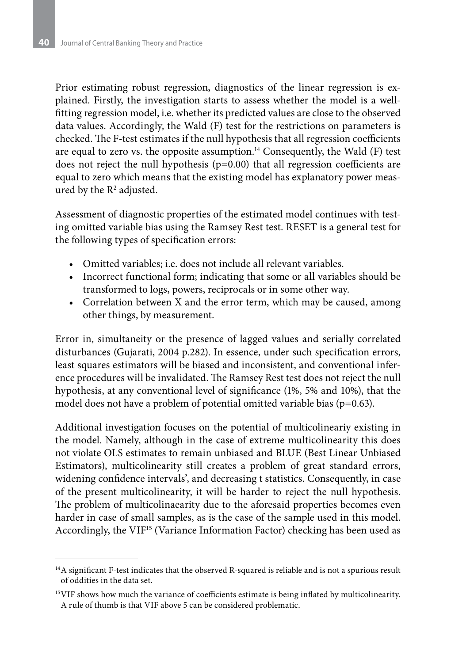Prior estimating robust regression, diagnostics of the linear regression is explained. Firstly, the investigation starts to assess whether the model is a wellfitting regression model, i.e. whether its predicted values are close to the observed data values. Accordingly, the Wald (F) test for the restrictions on parameters is checked. The F-test estimates if the null hypothesis that all regression coefficients are equal to zero vs. the opposite assumption. $^{14}$  Consequently, the Wald (F) test does not reject the null hypothesis (p=0.00) that all regression coefficients are equal to zero which means that the existing model has explanatory power measured by the  $\mathsf{R}^2$  adjusted.

Assessment of diagnostic properties of the estimated model continues with testing omitted variable bias using the Ramsey Rest test. RESET is a general test for the following types of specification errors:

- Omitted variables; i.e. does not include all relevant variables.
- Incorrect functional form; indicating that some or all variables should be transformed to logs, powers, reciprocals or in some other way.
- Correlation between X and the error term, which may be caused, among other things, by measurement.

Error in, simultaneity or the presence of lagged values and serially correlated disturbances (Gujarati, 2004 p.282). In essence, under such specification errors, least squares estimators will be biased and inconsistent, and conventional inference procedures will be invalidated. The Ramsey Rest test does not reject the null hypothesis, at any conventional level of significance (1%, 5% and 10%), that the model does not have a problem of potential omitted variable bias (p=0.63).

Additional investigation focuses on the potential of multicolineariy existing in the model. Namely, although in the case of extreme multicolinearity this does not violate OLS estimates to remain unbiased and BLUE (Best Linear Unbiased Estimators), multicolinearity still creates a problem of great standard errors, widening confidence intervals', and decreasing t statistics. Consequently, in case of the present multicolinearity, it will be harder to reject the null hypothesis. The problem of multicolinaearity due to the aforesaid properties becomes even harder in case of small samples, as is the case of the sample used in this model. Accordingly, the VIF<sup>15</sup> (Variance Information Factor) checking has been used as

<sup>&</sup>lt;sup>14</sup>A significant F-test indicates that the observed R-squared is reliable and is not a spurious result of oddities in the data set.

<sup>&</sup>lt;sup>15</sup>VIF shows how much the variance of coefficients estimate is being inflated by multicolinearity. A rule of thumb is that VIF above 5 can be considered problematic.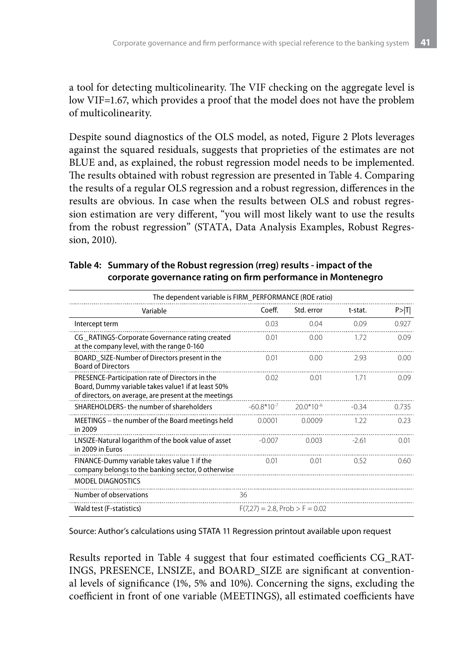a tool for detecting multicolinearity. The VIF checking on the aggregate level is low VIF=1.67, which provides a proof that the model does not have the problem of multicolinearity.

Despite sound diagnostics of the OLS model, as noted, Figure 2 Plots leverages against the squared residuals, suggests that proprieties of the estimates are not BLUE and, as explained, the robust regression model needs to be implemented. The results obtained with robust regression are presented in Table 4. Comparing the results of a regular OLS regression and a robust regression, differences in the results are obvious. In case when the results between OLS and robust regression estimation are very different, "you will most likely want to use the results from the robust regression" (STATA, Data Analysis Examples, Robust Regression, 2010).

| The dependent variable is FIRM_PERFORMANCE (ROE ratio)                                                                                                         |                                   |                |         |        |  |  |
|----------------------------------------------------------------------------------------------------------------------------------------------------------------|-----------------------------------|----------------|---------|--------|--|--|
| Variable                                                                                                                                                       | Coeff.                            | Std. error     | t-stat. | P >  T |  |  |
| Intercept term                                                                                                                                                 | 0.03                              | 0.04           | 0.09    | 0.927  |  |  |
| CG RATINGS-Corporate Governance rating created<br>at the company level, with the range 0-160                                                                   | 0.01                              | 0.00           | 1.72    | 0.09   |  |  |
| BOARD_SIZE-Number of Directors present in the<br><b>Board of Directors</b>                                                                                     | 0.01                              | 0.00           | 2.93    | 0.00   |  |  |
| PRESENCE-Participation rate of Directors in the<br>Board, Dummy variable takes value1 if at least 50%<br>of directors, on average, are present at the meetings | 0.02                              | 0.01           | 1.71    | 0.09   |  |  |
| SHARFHOLDERS-the number of shareholders                                                                                                                        | $-60.8*10^{-7}$                   | $20.0*10^{-6}$ | $-0.34$ | 0.735  |  |  |
| MEETINGS – the number of the Board meetings held<br>in 2009                                                                                                    | 0.0001                            | 0.0009         | 1.22    | 0.23   |  |  |
| LNSIZE-Natural logarithm of the book value of asset<br>in 2009 in Euros                                                                                        | $-0.007$                          | 0.003          | $-2.61$ | 0.01   |  |  |
| FINANCE-Dummy variable takes value 1 if the<br>company belongs to the banking sector, 0 otherwise                                                              | 0.01                              | 0.01           | 0.52    | 0.60   |  |  |
| <b>MODEL DIAGNOSTICS</b>                                                                                                                                       |                                   |                |         |        |  |  |
| Number of observations                                                                                                                                         | 36                                |                |         |        |  |  |
| Wald test (F-statistics)                                                                                                                                       | $F(7,27) = 2.8$ , Prob > F = 0.02 |                |         |        |  |  |

**Table 4: Summary of the Robust regression (rreg) results - impact of the corporate governance rating on firm performance in Montenegro**

Source: Author's calculations using STATA 11 Regression printout available upon request

Results reported in Table 4 suggest that four estimated coefficients CG\_RAT-INGS, PRESENCE, LNSIZE, and BOARD\_SIZE are significant at conventional levels of significance (1%, 5% and 10%). Concerning the signs, excluding the coefficient in front of one variable (MEETINGS), all estimated coefficients have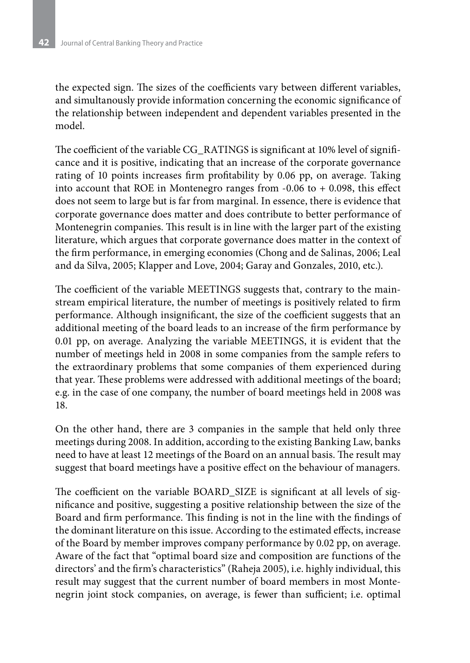the expected sign. The sizes of the coefficients vary between different variables, and simultanously provide information concerning the economic significance of the relationship between independent and dependent variables presented in the model.

The coefficient of the variable CG\_RATINGS is significant at 10% level of significance and it is positive, indicating that an increase of the corporate governance rating of 10 points increases firm profitability by 0.06 pp, on average. Taking into account that ROE in Montenegro ranges from  $-0.06$  to  $+0.098$ , this effect does not seem to large but is far from marginal. In essence, there is evidence that corporate governance does matter and does contribute to better performance of Montenegrin companies. This result is in line with the larger part of the existing literature, which argues that corporate governance does matter in the context of the firm performance, in emerging economies (Chong and de Salinas, 2006; Leal and da Silva, 2005; Klapper and Love, 2004; Garay and Gonzales, 2010, etc.).

The coefficient of the variable MEETINGS suggests that, contrary to the mainstream empirical literature, the number of meetings is positively related to firm performance. Although insignificant, the size of the coefficient suggests that an additional meeting of the board leads to an increase of the firm performance by 0.01 pp, on average. Analyzing the variable MEETINGS, it is evident that the number of meetings held in 2008 in some companies from the sample refers to the extraordinary problems that some companies of them experienced during that year. These problems were addressed with additional meetings of the board; e.g. in the case of one company, the number of board meetings held in 2008 was 18.

On the other hand, there are 3 companies in the sample that held only three meetings during 2008. In addition, according to the existing Banking Law, banks need to have at least 12 meetings of the Board on an annual basis. The result may suggest that board meetings have a positive effect on the behaviour of managers.

The coefficient on the variable BOARD\_SIZE is significant at all levels of significance and positive, suggesting a positive relationship between the size of the Board and firm performance. This finding is not in the line with the findings of the dominant literature on this issue. According to the estimated effects, increase of the Board by member improves company performance by 0.02 pp, on average. Aware of the fact that "optimal board size and composition are functions of the directors' and the firm's characteristics" (Raheja 2005), i.e. highly individual, this result may suggest that the current number of board members in most Montenegrin joint stock companies, on average, is fewer than sufficient; i.e. optimal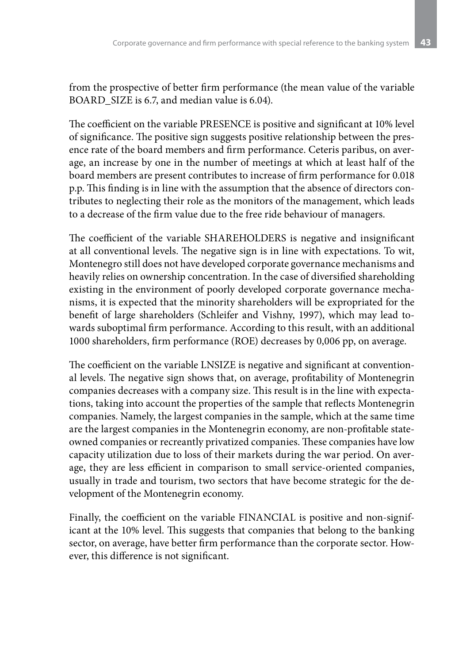from the prospective of better firm performance (the mean value of the variable BOARD SIZE is 6.7, and median value is 6.04).

The coefficient on the variable PRESENCE is positive and significant at 10% level of significance. The positive sign suggests positive relationship between the presence rate of the board members and firm performance. Ceteris paribus, on average, an increase by one in the number of meetings at which at least half of the board members are present contributes to increase of firm performance for 0.018 p.p. This finding is in line with the assumption that the absence of directors contributes to neglecting their role as the monitors of the management, which leads to a decrease of the firm value due to the free ride behaviour of managers.

The coefficient of the variable SHAREHOLDERS is negative and insignificant at all conventional levels. The negative sign is in line with expectations. To wit, Montenegro still does not have developed corporate governance mechanisms and heavily relies on ownership concentration. In the case of diversified shareholding existing in the environment of poorly developed corporate governance mechanisms, it is expected that the minority shareholders will be expropriated for the benefit of large shareholders (Schleifer and Vishny, 1997), which may lead towards suboptimal firm performance. According to this result, with an additional 1000 shareholders, firm performance (ROE) decreases by 0,006 pp, on average.

The coefficient on the variable LNSIZE is negative and significant at conventional levels. The negative sign shows that, on average, profitability of Montenegrin companies decreases with a company size. This result is in the line with expectations, taking into account the properties of the sample that reflects Montenegrin companies. Namely, the largest companies in the sample, which at the same time are the largest companies in the Montenegrin economy, are non-profitable stateowned companies or recreantly privatized companies. These companies have low capacity utilization due to loss of their markets during the war period. On average, they are less efficient in comparison to small service-oriented companies, usually in trade and tourism, two sectors that have become strategic for the development of the Montenegrin economy.

Finally, the coefficient on the variable FINANCIAL is positive and non-significant at the 10% level. This suggests that companies that belong to the banking sector, on average, have better firm performance than the corporate sector. However, this difference is not significant.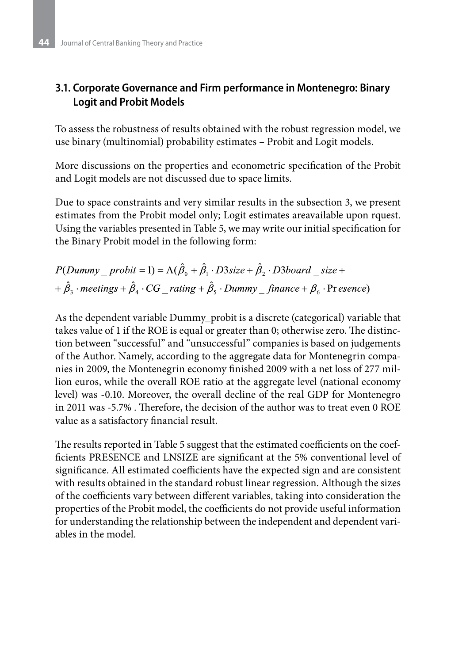# **3.1. Corporate Governance and Firm performance in Montenegro: Binary Logit and Probit Models**

To assess the robustness of results obtained with the robust regression model, we use binary (multinomial) probability estimates – Probit and Logit models.

More discussions on the properties and econometric specification of the Probit and Logit models are not discussed due to space limits.

Due to space constraints and very similar results in the subsection 3, we present estimates from the Probit model only; Logit estimates areavailable upon rquest. Using the variables presented in Table 5, we may write our initial specification for the Binary Probit model in the following form:

 $P(Dummy$  probit = 1) =  $\Lambda(\hat{\beta}_0 + \hat{\beta}_1 \cdot D3size + \hat{\beta}_2 \cdot D3board$  size +  $+\hat{\beta}_3 \cdot$  meetings  $+\hat{\beta}_4 \cdot CG$  rating  $+\hat{\beta}_5 \cdot$  Dummy finance  $+\beta_6 \cdot$  Pr esence)

As the dependent variable Dummy\_probit is a discrete (categorical) variable that takes value of 1 if the ROE is equal or greater than 0; otherwise zero. The distinction between "successful" and "unsuccessful" companies is based on judgements of the Author. Namely, according to the aggregate data for Montenegrin companies in 2009, the Montenegrin economy finished 2009 with a net loss of 277 million euros, while the overall ROE ratio at the aggregate level (national economy level) was -0.10. Moreover, the overall decline of the real GDP for Montenegro in 2011 was -5.7% . Therefore, the decision of the author was to treat even 0 ROE value as a satisfactory financial result.

The results reported in Table 5 suggest that the estimated coefficients on the coefficients PRESENCE and LNSIZE are significant at the 5% conventional level of significance. All estimated coefficients have the expected sign and are consistent with results obtained in the standard robust linear regression. Although the sizes of the coefficients vary between different variables, taking into consideration the properties of the Probit model, the coefficients do not provide useful information for understanding the relationship between the independent and dependent variables in the model.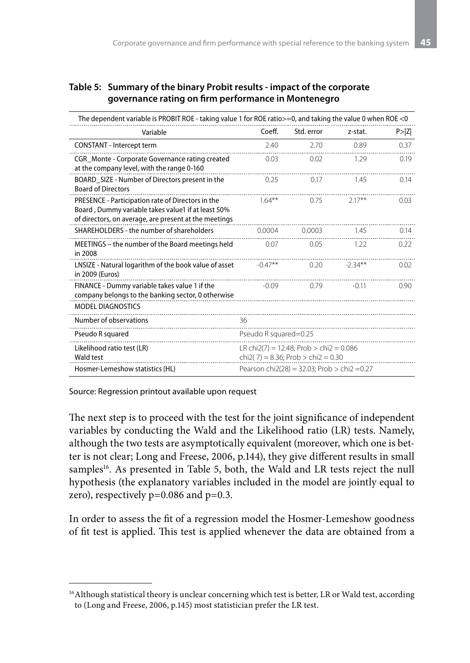#### **Table 5: Summary of the binary Probit results - impact of the corporate governance rating on firm performance in Montenegro**

| The dependent variable is PROBIT ROE - taking value 1 for ROE ratio > = 0, and taking the value 0 when ROE < 0                                                   |                                                                               |            |           |        |  |
|------------------------------------------------------------------------------------------------------------------------------------------------------------------|-------------------------------------------------------------------------------|------------|-----------|--------|--|
| Variable                                                                                                                                                         | Coeff.                                                                        | Std. error | z-stat.   | P >  Z |  |
| CONSTANT - Intercept term                                                                                                                                        | 7.40                                                                          | 2.70       | 0.89      | 0.37   |  |
| CGR_Monte - Corporate Governance rating created<br>at the company level, with the range 0-160                                                                    | 0.03                                                                          | 0.02       | 1.29      | 0.19   |  |
| BOARD_SIZE - Number of Directors present in the<br><b>Board of Directors</b>                                                                                     | 0.25                                                                          | 0.17       | 1.45      | 0.14   |  |
| PRESENCE - Participation rate of Directors in the<br>Board, Dummy variable takes value1 if at least 50%<br>of directors, on average, are present at the meetings | $164***$                                                                      | 0.75       | $2.17***$ | 0.03   |  |
| SHAREHOLDERS - the number of shareholders                                                                                                                        | 0.0004                                                                        | 0.0003     | 1.45      | 0.14   |  |
| MEETINGS - the number of the Board meetings held<br>in 2008                                                                                                      | 0.07                                                                          | 0.05       | 1.22      | 0.22   |  |
| LNSIZE - Natural logarithm of the book value of asset<br>in 2009 (Euros)                                                                                         | $-0.47**$                                                                     | 0.20       | $-2.34**$ | 0.02   |  |
| FINANCE - Dummy variable takes value 1 if the<br>company belongs to the banking sector, 0 otherwise                                                              | $-0.09$                                                                       | 0.79       | $-0.11$   | 0.90   |  |
| <b>MODEL DIAGNOSTICS</b>                                                                                                                                         |                                                                               |            |           |        |  |
| Number of observations                                                                                                                                           | 36                                                                            |            |           |        |  |
| Pseudo R squared                                                                                                                                                 | Pseudo R squared=0.25                                                         |            |           |        |  |
| Likelihood ratio test (LR)<br>Wald test                                                                                                                          | LR chi2(7) = 12.48; Prob > chi2 = 0.086<br>chi2(7) = 8.36; Prob > chi2 = 0.30 |            |           |        |  |
| Hosmer-Lemeshow statistics (HL)                                                                                                                                  | Pearson chi2(28) = 32.03; Prob > chi2 = 0.27                                  |            |           |        |  |

Source: Regression printout available upon request

The next step is to proceed with the test for the joint significance of independent variables by conducting the Wald and the Likelihood ratio (LR) tests. Namely, although the two tests are asymptotically equivalent (moreover, which one is better is not clear; Long and Freese, 2006, p.144), they give different results in small samples<sup>16</sup>. As presented in Table 5, both, the Wald and LR tests reject the null hypothesis (the explanatory variables included in the model are jointly equal to zero), respectively  $p=0.086$  and  $p=0.3$ .

In order to assess the fit of a regression model the Hosmer-Lemeshow goodness of fit test is applied. This test is applied whenever the data are obtained from a

<sup>&</sup>lt;sup>16</sup> Although statistical theory is unclear concerning which test is better, LR or Wald test, according to (Long and Freese, 2006, p.145) most statistician prefer the LR test.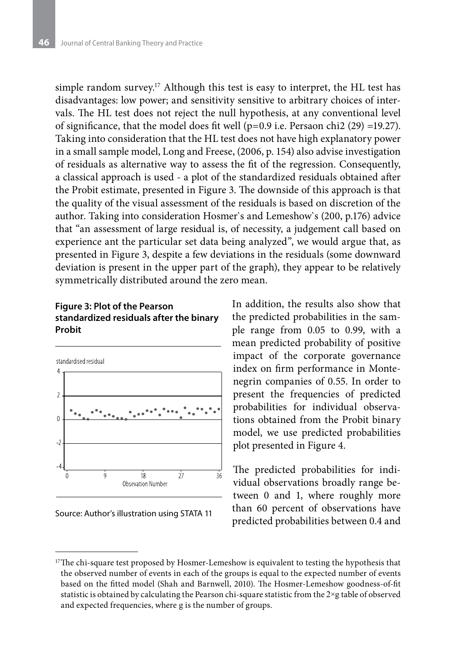simple random survey.<sup>17</sup> Although this test is easy to interpret, the HL test has disadvantages: low power; and sensitivity sensitive to arbitrary choices of intervals. The HL test does not reject the null hypothesis, at any conventional level of significance, that the model does fit well ( $p=0.9$  i.e. Persaon chi2 (29) =19.27). Taking into consideration that the HL test does not have high explanatory power in a small sample model, Long and Freese, (2006, p. 154) also advise investigation of residuals as alternative way to assess the fit of the regression. Consequently, a classical approach is used - a plot of the standardized residuals obtained after the Probit estimate, presented in Figure 3. The downside of this approach is that the quality of the visual assessment of the residuals is based on discretion of the author. Taking into consideration Hosmer`s and Lemeshow`s (200, p.176) advice that "an assessment of large residual is, of necessity, a judgement call based on experience ant the particular set data being analyzed", we would argue that, as presented in Figure 3, despite a few deviations in the residuals (some downward deviation is present in the upper part of the graph), they appear to be relatively symmetrically distributed around the zero mean.

#### **Figure 3: Plot of the Pearson standardized residuals after the binary Probit**





In addition, the results also show that the predicted probabilities in the sample range from 0.05 to 0.99, with a mean predicted probability of positive impact of the corporate governance index on firm performance in Montenegrin companies of 0.55. In order to present the frequencies of predicted probabilities for individual observations obtained from the Probit binary model, we use predicted probabilities plot presented in Figure 4.

The predicted probabilities for individual observations broadly range between 0 and 1, where roughly more than 60 percent of observations have predicted probabilities between 0.4 and

<sup>&</sup>lt;sup>17</sup>The chi-square test proposed by Hosmer-Lemeshow is equivalent to testing the hypothesis that the observed number of events in each of the groups is equal to the expected number of events based on the fitted model (Shah and Barnwell, 2010). The Hosmer-Lemeshow goodness-of-fit statistic is obtained by calculating the Pearson chi-square statistic from the 2×g table of observed and expected frequencies, where g is the number of groups.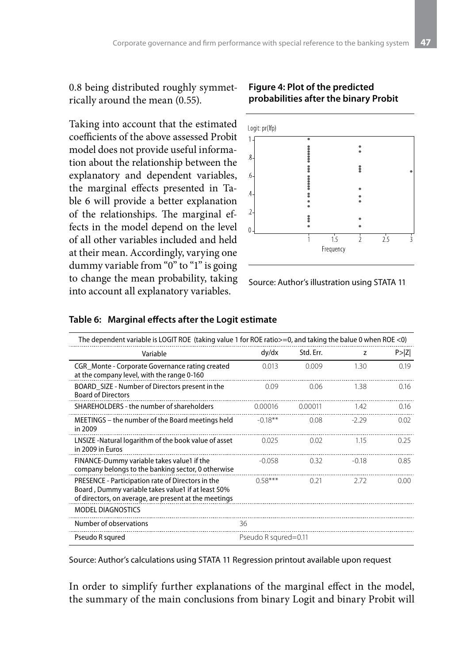0.8 being distributed roughly symmetrically around the mean (0.55).

Taking into account that the estimated coefficients of the above assessed Probit model does not provide useful information about the relationship between the explanatory and dependent variables, the marginal effects presented in Table 6 will provide a better explanation of the relationships. The marginal effects in the model depend on the level of all other variables included and held at their mean. Accordingly, varying one dummy variable from "0" to "1" is going to change the mean probability, taking into account all explanatory variables.

#### **Figure 4: Plot of the predicted probabilities after the binary Probit**



Source: Author's illustration using STATA 11

| The dependent variable is LOGIT ROE (taking value 1 for ROE ratio $>=$ 0, and taking the balue 0 when ROE <0)                                                    |                      |           |         |        |  |  |
|------------------------------------------------------------------------------------------------------------------------------------------------------------------|----------------------|-----------|---------|--------|--|--|
| Variable                                                                                                                                                         | dy/dx                | Std. Err. | z       | P >  Z |  |  |
| CGR Monte - Corporate Governance rating created<br>at the company level, with the range 0-160                                                                    | 0.013                | 0.009     | 1.30    | 0.19   |  |  |
| BOARD_SIZE - Number of Directors present in the<br><b>Board of Directors</b>                                                                                     | 0.09                 | 0.06      | 138     | 0.16   |  |  |
| SHAREHOLDERS - the number of shareholders                                                                                                                        | 0.00016              | 0.00011   | 142     | 0.16   |  |  |
| MEETINGS – the number of the Board meetings held<br>in 2009                                                                                                      | $-0.18***$           | 0.08      | -2 29   | 0.02   |  |  |
| LNSIZE -Natural logarithm of the book value of asset<br>in 2009 in Euros                                                                                         | 0.025                | 0.02      | 1.15    | 0.25   |  |  |
| FINANCE-Dummy variable takes value1 if the<br>company belongs to the banking sector, 0 otherwise                                                                 | $-0.058$             | 0.32      | $-0.18$ | 0.85   |  |  |
| PRESENCE - Participation rate of Directors in the<br>Board, Dummy variable takes value1 if at least 50%<br>of directors, on average, are present at the meetings | $0.58***$            | 0.21      | 2.72    | 0.00   |  |  |
| <b>MODEL DIAGNOSTICS</b>                                                                                                                                         |                      |           |         |        |  |  |
| Number of observations                                                                                                                                           | 36                   |           |         |        |  |  |
| Pseudo R squred                                                                                                                                                  | Pseudo R squred=0.11 |           |         |        |  |  |

#### **Table 6: Marginal effects after the Logit estimate**

Source: Author's calculations using STATA 11 Regression printout available upon request

In order to simplify further explanations of the marginal effect in the model, the summary of the main conclusions from binary Logit and binary Probit will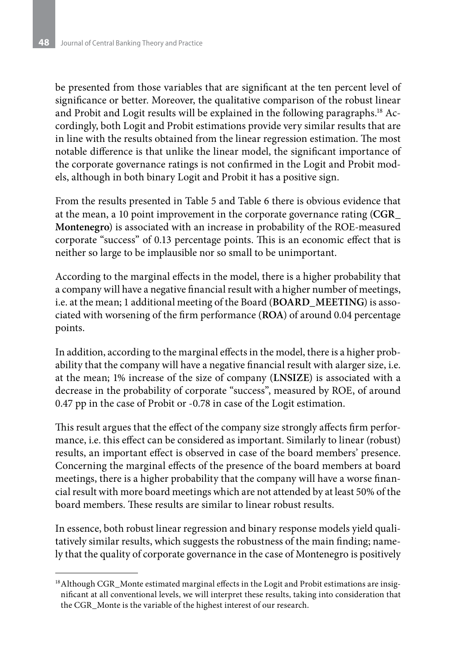be presented from those variables that are significant at the ten percent level of significance or better. Moreover, the qualitative comparison of the robust linear and Probit and Logit results will be explained in the following paragraphs.18 Accordingly, both Logit and Probit estimations provide very similar results that are in line with the results obtained from the linear regression estimation. The most notable difference is that unlike the linear model, the significant importance of the corporate governance ratings is not confirmed in the Logit and Probit models, although in both binary Logit and Probit it has a positive sign.

From the results presented in Table 5 and Table 6 there is obvious evidence that at the mean, a 10 point improvement in the corporate governance rating (**CGR\_ Montenegro**) is associated with an increase in probability of the ROE-measured corporate "success" of 0.13 percentage points. This is an economic effect that is neither so large to be implausible nor so small to be unimportant.

According to the marginal effects in the model, there is a higher probability that a company will have a negative financial result with a higher number of meetings, i.e. at the mean; 1 additional meeting of the Board (**BOARD\_MEETING**) is associated with worsening of the firm performance (**ROA**) of around 0.04 percentage points.

In addition, according to the marginal effects in the model, there is a higher probability that the company will have a negative financial result with alarger size, i.e. at the mean; 1% increase of the size of company (**LNSIZE**) is associated with a decrease in the probability of corporate "success", measured by ROE, of around 0.47 pp in the case of Probit or -0.78 in case of the Logit estimation.

This result argues that the effect of the company size strongly affects firm performance, i.e. this effect can be considered as important. Similarly to linear (robust) results, an important effect is observed in case of the board members' presence. Concerning the marginal effects of the presence of the board members at board meetings, there is a higher probability that the company will have a worse financial result with more board meetings which are not attended by at least 50% of the board members. These results are similar to linear robust results.

In essence, both robust linear regression and binary response models yield qualitatively similar results, which suggests the robustness of the main finding; namely that the quality of corporate governance in the case of Montenegro is positively

<sup>&</sup>lt;sup>18</sup> Although CGR\_Monte estimated marginal effects in the Logit and Probit estimations are insignificant at all conventional levels, we will interpret these results, taking into consideration that the CGR\_Monte is the variable of the highest interest of our research.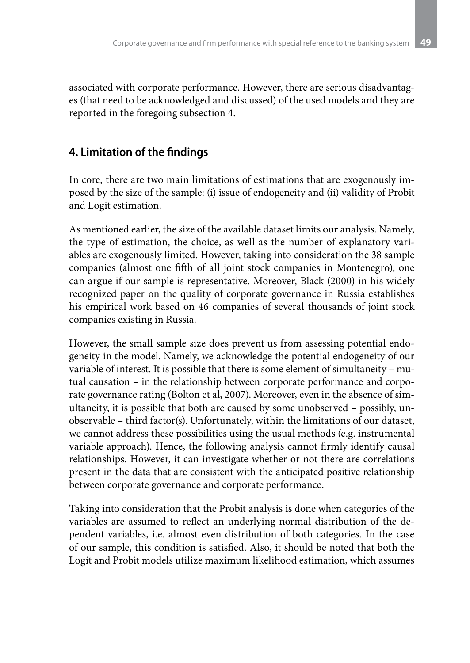associated with corporate performance. However, there are serious disadvantages (that need to be acknowledged and discussed) of the used models and they are reported in the foregoing subsection 4.

# **4. Limitation of the findings**

In core, there are two main limitations of estimations that are exogenously imposed by the size of the sample: (i) issue of endogeneity and (ii) validity of Probit and Logit estimation.

As mentioned earlier, the size of the available dataset limits our analysis. Namely, the type of estimation, the choice, as well as the number of explanatory variables are exogenously limited. However, taking into consideration the 38 sample companies (almost one fifth of all joint stock companies in Montenegro), one can argue if our sample is representative. Moreover, Black (2000) in his widely recognized paper on the quality of corporate governance in Russia establishes his empirical work based on 46 companies of several thousands of joint stock companies existing in Russia.

However, the small sample size does prevent us from assessing potential endogeneity in the model. Namely, we acknowledge the potential endogeneity of our variable of interest. It is possible that there is some element of simultaneity – mutual causation – in the relationship between corporate performance and corporate governance rating (Bolton et al, 2007). Moreover, even in the absence of simultaneity, it is possible that both are caused by some unobserved – possibly, unobservable – third factor(s). Unfortunately, within the limitations of our dataset, we cannot address these possibilities using the usual methods (e.g. instrumental variable approach). Hence, the following analysis cannot firmly identify causal relationships. However, it can investigate whether or not there are correlations present in the data that are consistent with the anticipated positive relationship between corporate governance and corporate performance.

Taking into consideration that the Probit analysis is done when categories of the variables are assumed to reflect an underlying normal distribution of the dependent variables, i.e. almost even distribution of both categories. In the case of our sample, this condition is satisfied. Also, it should be noted that both the Logit and Probit models utilize maximum likelihood estimation, which assumes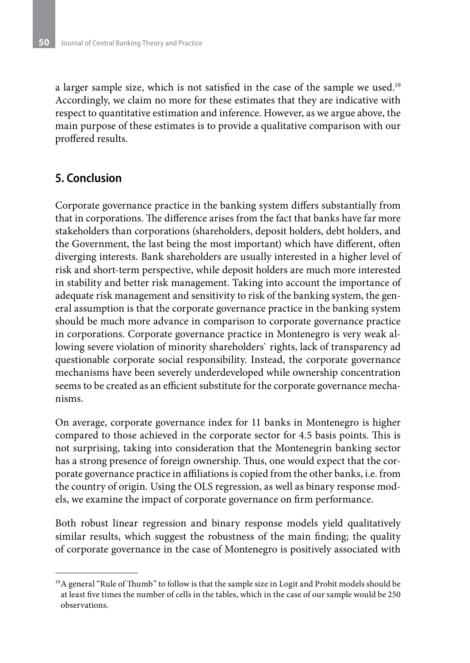a larger sample size, which is not satisfied in the case of the sample we used.<sup>19</sup> Accordingly, we claim no more for these estimates that they are indicative with respect to quantitative estimation and inference. However, as we argue above, the main purpose of these estimates is to provide a qualitative comparison with our proffered results.

### **5. Conclusion**

Corporate governance practice in the banking system differs substantially from that in corporations. The difference arises from the fact that banks have far more stakeholders than corporations (shareholders, deposit holders, debt holders, and the Government, the last being the most important) which have different, often diverging interests. Bank shareholders are usually interested in a higher level of risk and short-term perspective, while deposit holders are much more interested in stability and better risk management. Taking into account the importance of adequate risk management and sensitivity to risk of the banking system, the general assumption is that the corporate governance practice in the banking system should be much more advance in comparison to corporate governance practice in corporations. Corporate governance practice in Montenegro is very weak allowing severe violation of minority shareholders` rights, lack of transparency ad questionable corporate social responsibility. Instead, the corporate governance mechanisms have been severely underdeveloped while ownership concentration seems to be created as an efficient substitute for the corporate governance mechanisms.

On average, corporate governance index for 11 banks in Montenegro is higher compared to those achieved in the corporate sector for 4.5 basis points. This is not surprising, taking into consideration that the Montenegrin banking sector has a strong presence of foreign ownership. Thus, one would expect that the corporate governance practice in affiliations is copied from the other banks, i.e. from the country of origin. Using the OLS regression, as well as binary response models, we examine the impact of corporate governance on firm performance.

Both robust linear regression and binary response models yield qualitatively similar results, which suggest the robustness of the main finding; the quality of corporate governance in the case of Montenegro is positively associated with

<sup>&</sup>lt;sup>19</sup>A general "Rule of Thumb" to follow is that the sample size in Logit and Probit models should be at least five times the number of cells in the tables, which in the case of our sample would be 250 observations.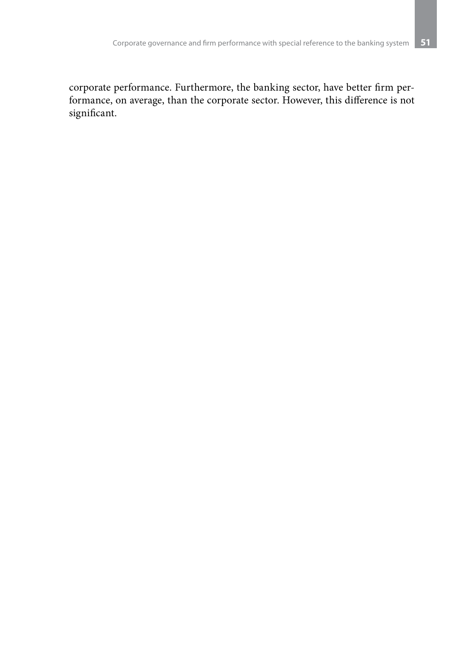corporate performance. Furthermore, the banking sector, have better firm performance, on average, than the corporate sector. However, this difference is not significant.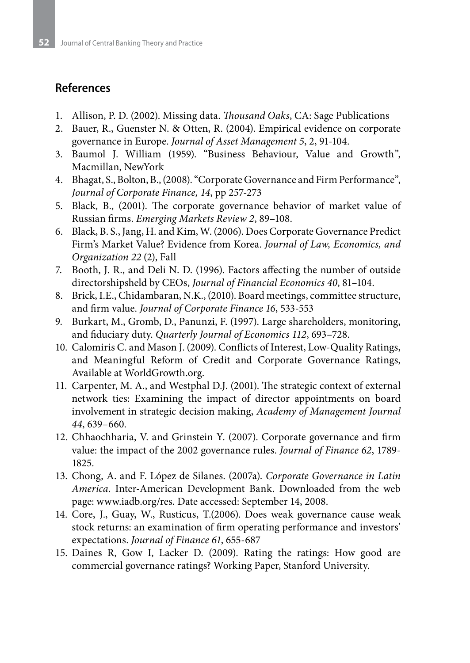### **References**

- 1. Allison, P. D. (2002). Missing data. *Thousand Oaks*, CA: Sage Publications
- 2. Bauer, R., Guenster N. & Otten, R. (2004). Empirical evidence on corporate governance in Europe. *Journal of Asset Management 5*, 2, 91-104.
- 3. Baumol J. William (1959). "Business Behaviour, Value and Growth", Macmillan, NewYork
- 4. Bhagat, S., Bolton, B., (2008). "Corporate Governance and Firm Performance", *Journal of Corporate Finance, 14*, pp 257-273
- 5. Black, B., (2001). The corporate governance behavior of market value of Russian firms. *Emerging Markets Review 2*, 89–108.
- 6. Black, B. S., Jang, H. and Kim, W. (2006). Does Corporate Governance Predict Firm's Market Value? Evidence from Korea. *Journal of Law, Economics, and Organization 22* (2), Fall
- 7. Booth, J. R., and Deli N. D. (1996). Factors affecting the number of outside directorshipsheld by CEOs, *Journal of Financial Economics 40*, 81–104.
- 8. Brick, I.E., Chidambaran, N.K., (2010). Board meetings, committee structure, and firm value. *Journal of Corporate Finance 16*, 533-553
- 9. Burkart, M., Gromb, D., Panunzi, F. (1997). Large shareholders, monitoring, and fiduciary duty. *Quarterly Journal of Economics 112*, 693–728.
- 10. Calomiris C. and Mason J. (2009). Conflicts of Interest, Low-Quality Ratings, and Meaningful Reform of Credit and Corporate Governance Ratings, Available at WorldGrowth.org.
- 11. Carpenter, M. A., and Westphal D.J. (2001). The strategic context of external network ties: Examining the impact of director appointments on board involvement in strategic decision making, *Academy of Management Journal 44*, 639–660.
- 12. Chhaochharia, V. and Grinstein Y. (2007). Corporate governance and firm value: the impact of the 2002 governance rules. *Journal of Finance 62*, 1789- 1825.
- 13. Chong, A. and F. López de Silanes. (2007a). *Corporate Governance in Latin America*. Inter-American Development Bank. Downloaded from the web page: www.iadb.org/res. Date accessed: September 14, 2008.
- 14. Core, J., Guay, W., Rusticus, T.(2006). Does weak governance cause weak stock returns: an examination of firm operating performance and investors' expectations. *Journal of Finance 61*, 655-687
- 15. Daines R, Gow I, Lacker D. (2009). Rating the ratings: How good are commercial governance ratings? Working Paper, Stanford University.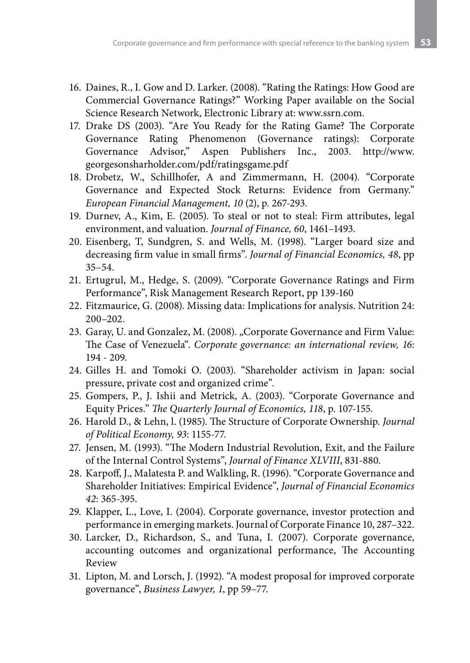- 16. Daines, R., I. Gow and D. Larker. (2008). "Rating the Ratings: How Good are Commercial Governance Ratings?" Working Paper available on the Social Science Research Network, Electronic Library at: www.ssrn.com.
- 17. Drake DS (2003). "Are You Ready for the Rating Game? The Corporate Governance Rating Phenomenon (Governance ratings): Corporate Governance Advisor," Aspen Publishers Inc., 2003. http://www. georgesonsharholder.com/pdf/ratingsgame.pdf
- 18. Drobetz, W., Schillhofer, A and Zimmermann, H. (2004). "Corporate Governance and Expected Stock Returns: Evidence from Germany." *European Financial Management, 10* (2), p. 267-293.
- 19. Durnev, A., Kim, E. (2005). To steal or not to steal: Firm attributes, legal environment, and valuation. *Journal of Finance, 60*, 1461–1493.
- 20. Eisenberg, T, Sundgren, S. and Wells, M. (1998). "Larger board size and decreasing firm value in small firms". *Journal of Financial Economics, 48*, pp  $35 - 54$ .
- 21. Ertugrul, M., Hedge, S. (2009). "Corporate Governance Ratings and Firm Performance", Risk Management Research Report, pp 139-160
- 22. Fitzmaurice, G. (2008). Missing data: Implications for analysis. Nutrition 24: 200–202.
- 23. Garay, U. and Gonzalez, M. (2008). "Corporate Governance and Firm Value: The Case of Venezuela". *Corporate governance: an international review, 16*: 194 - 209.
- 24. Gilles H. and Tomoki O. (2003). "Shareholder activism in Japan: social pressure, private cost and organized crime".
- 25. Gompers, P., J. Ishii and Metrick, A. (2003). "Corporate Governance and Equity Prices." *The Quarterly Journal of Economics, 118*, p. 107-155.
- 26. Harold D., & Lehn, l. (1985). The Structure of Corporate Ownership. *Journal of Political Economy, 93*: 1155-77.
- 27. Jensen, M. (1993). "The Modern Industrial Revolution, Exit, and the Failure of the Internal Control Systems", *Journal of Finance XLVIII*, 831-880.
- 28. Karpoff, J., Malatesta P. and Walkling, R. (1996). "Corporate Governance and Shareholder Initiatives: Empirical Evidence", *Journal of Financial Economics 42*: 365-395.
- 29. Klapper, L., Love, I. (2004). Corporate governance, investor protection and performance in emerging markets. Journal of Corporate Finance 10, 287–322.
- 30. Larcker, D., Richardson, S., and Tuna, I. (2007). Corporate governance, accounting outcomes and organizational performance, The Accounting Review
- 31. Lipton, M. and Lorsch, J. (1992). "A modest proposal for improved corporate governance", *Business Lawyer, 1*, pp 59–77.